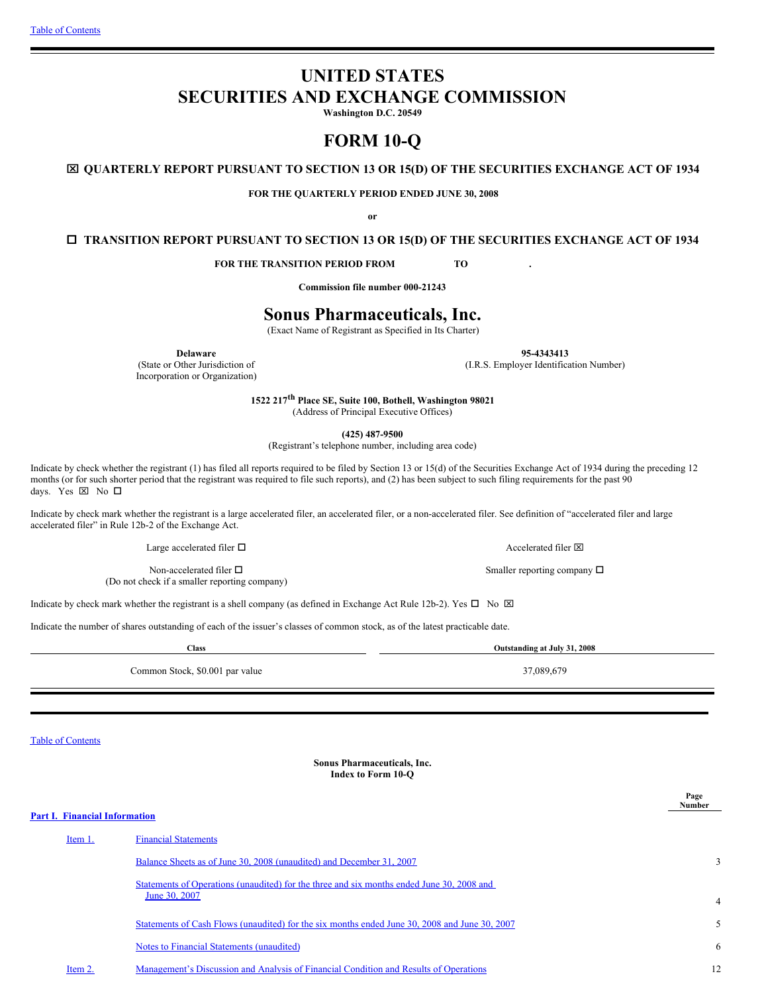# **UNITED STATES SECURITIES AND EXCHANGE COMMISSION**

**Washington D.C. 20549**

# **FORM 10-Q**

x **QUARTERLY REPORT PURSUANT TO SECTION 13 OR 15(D) OF THE SECURITIES EXCHANGE ACT OF 1934**

**FOR THE QUARTERLY PERIOD ENDED JUNE 30, 2008**

**or**

o **TRANSITION REPORT PURSUANT TO SECTION 13 OR 15(D) OF THE SECURITIES EXCHANGE ACT OF 1934**

**FOR THE TRANSITION PERIOD FROM TO .**

**Commission file number 000-21243**

## **Sonus Pharmaceuticals, Inc.**

(Exact Name of Registrant as Specified in Its Charter)

Incorporation or Organization)

**Delaware 95-4343413**

(State or Other Jurisdiction of (I.R.S. Employer Identification Number)

Smaller reporting company  $\Box$ 

**1522 217 th Place SE, Suite 100, Bothell, Washington 98021**

(Address of Principal Executive Offices)

**(425) 487-9500**

(Registrant's telephone number, including area code)

Indicate by check whether the registrant (1) has filed all reports required to be filed by Section 13 or 15(d) of the Securities Exchange Act of 1934 during the preceding 12 months (or for such shorter period that the registrant was required to file such reports), and (2) has been subject to such filing requirements for the past 90 days. Yes  $\boxtimes$  No  $\square$ 

Indicate by check mark whether the registrant is a large accelerated filer, an accelerated filer, or a non-accelerated filer. See definition of "accelerated filer and large accelerated filer" in Rule 12b-2 of the Exchange Act.

Large accelerated filer  $\Box$  Accelerated filer  $\boxtimes$ 

Non-accelerated filer  $\square$ (Do not check if a smaller reporting company)

Indicate by check mark whether the registrant is a shell company (as defined in Exchange Act Rule 12b-2). Yes  $\Box$  No  $\boxtimes$ 

Indicate the number of shares outstanding of each of the issuer's classes of common stock, as of the latest practicable date.

| <b>Class</b>                    | Outstanding at July 31, 2008 |
|---------------------------------|------------------------------|
| Common Stock, \$0.001 par value | 37,089,679                   |

Table of [Contents](#page-0-0)

<span id="page-0-0"></span>**Sonus Pharmaceuticals, Inc. Index to Form 10-Q**

**Page Number Part I. Financial [Information](#page-1-0)** [Item](#page-1-1) 1. Financial [Statements](#page-1-1) Balance Sheets as of June 30, 2008 [\(unaudited\)](#page-1-2) and December 31, 2007 Statements of Operations [\(unaudited\)](#page-1-3) for the three and six months ended June 30, 2008 and June 30, 2007 4 Statements of Cash Flows [\(unaudited\)](#page-2-0) for the six months ended June 30, 2008 and June 30, 2007 Notes to Financial Statements [\(unaudited\)](#page-2-1) 6 [Item](#page-6-0) 2. [Management's](#page-6-0) Discussion and Analysis of Financial Condition and Results of Operations 12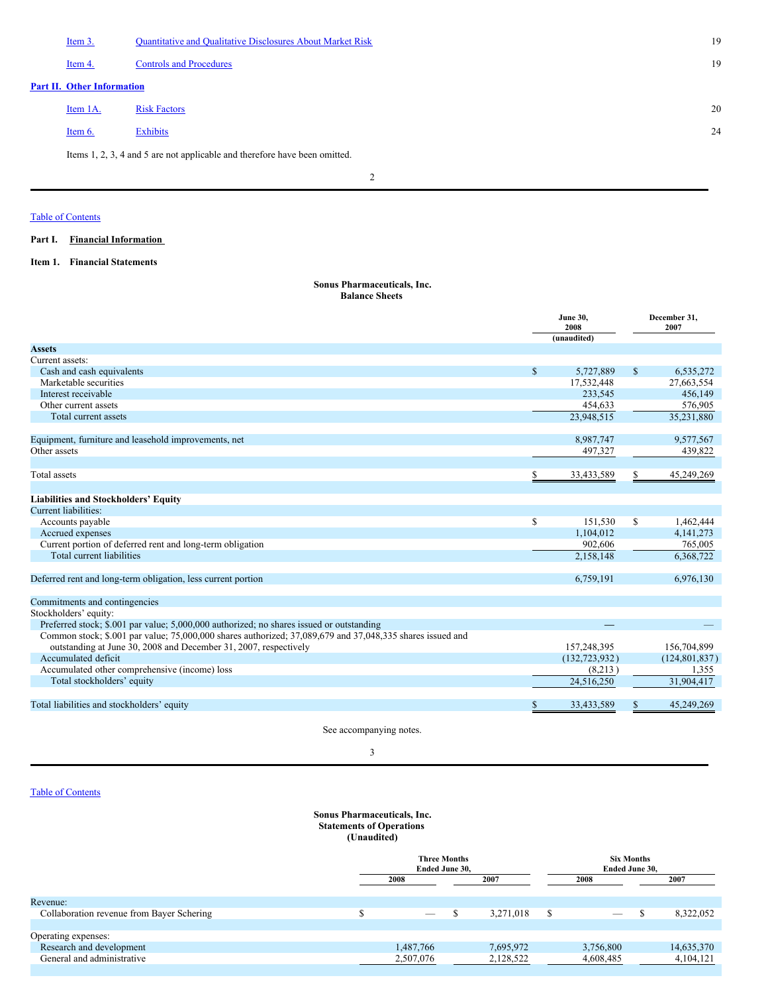## [Item](#page-10-0) 3. [Quantitative](#page-10-0) and Qualitative Disclosures About Market Risk 19

**[Item](#page-10-1) 4.** Controls and [Procedures](#page-10-1) 19

## **Part II. Other [Information](#page-10-2)**

| Item 1A. | <b>Risk Factors</b>                                                        | 20 |
|----------|----------------------------------------------------------------------------|----|
| Item 6.  | <b>Exhibits</b>                                                            | 24 |
|          | Items 1, 2, 3, 4 and 5 are not applicable and therefore have been omitted. |    |

2

## Table of [Contents](#page-0-0)

## <span id="page-1-0"></span>**Part I. Financial Information**

## <span id="page-1-1"></span>**Item 1. Financial Statements**

#### <span id="page-1-2"></span>**Sonus Pharmaceuticals, Inc. Balance Sheets**

|                                                                                                           |    | <b>June 30,</b><br>2008<br>(unaudited) |              | December 31,<br>2007 |  |
|-----------------------------------------------------------------------------------------------------------|----|----------------------------------------|--------------|----------------------|--|
| <b>Assets</b>                                                                                             |    |                                        |              |                      |  |
| Current assets:                                                                                           |    |                                        |              |                      |  |
| Cash and cash equivalents                                                                                 | \$ | 5,727,889                              | $\mathbb{S}$ | 6,535,272            |  |
| Marketable securities                                                                                     |    | 17,532,448                             |              | 27,663,554           |  |
| Interest receivable                                                                                       |    | 233,545                                |              | 456,149              |  |
| Other current assets                                                                                      |    | 454,633                                |              | 576,905              |  |
| Total current assets                                                                                      |    | 23,948,515                             |              | 35,231,880           |  |
|                                                                                                           |    |                                        |              |                      |  |
| Equipment, furniture and leasehold improvements, net                                                      |    | 8,987,747                              |              | 9,577,567            |  |
| Other assets                                                                                              |    | 497,327                                |              | 439,822              |  |
| Total assets<br>S                                                                                         |    | 33,433,589                             | S            | 45,249,269           |  |
| <b>Liabilities and Stockholders' Equity</b>                                                               |    |                                        |              |                      |  |
| Current liabilities:                                                                                      |    |                                        |              |                      |  |
| Accounts payable                                                                                          | \$ | 151,530                                | \$           | 1,462,444            |  |
| Accrued expenses                                                                                          |    | 1,104,012                              |              | 4, 141, 273          |  |
| Current portion of deferred rent and long-term obligation                                                 |    | 902,606                                |              | 765,005              |  |
| Total current liabilities                                                                                 |    | 2,158,148                              |              | 6,368,722            |  |
| Deferred rent and long-term obligation, less current portion                                              |    | 6,759,191                              |              | 6,976,130            |  |
| Commitments and contingencies                                                                             |    |                                        |              |                      |  |
| Stockholders' equity:                                                                                     |    |                                        |              |                      |  |
| Preferred stock; \$.001 par value; 5,000,000 authorized; no shares issued or outstanding                  |    |                                        |              |                      |  |
| Common stock; \$.001 par value; 75,000,000 shares authorized; 37,089,679 and 37,048,335 shares issued and |    |                                        |              |                      |  |
| outstanding at June 30, 2008 and December 31, 2007, respectively                                          |    | 157,248,395                            |              | 156,704,899          |  |
| Accumulated deficit                                                                                       |    | (132, 723, 932)                        |              | (124, 801, 837)      |  |
| Accumulated other comprehensive (income) loss                                                             |    | (8,213)                                |              | 1,355                |  |
| Total stockholders' equity                                                                                |    | 24,516,250                             |              | 31,904,417           |  |
| Total liabilities and stockholders' equity<br>S                                                           |    | 33,433,589                             | \$           | 45,249,269           |  |

See accompanying notes. 3

### Table of [Contents](#page-0-0)

#### <span id="page-1-3"></span>**Sonus Pharmaceuticals, Inc. Statements of Operations (Unaudited)**

|                                           |      | <b>Three Months</b><br>Ended June 30, |  |           |  | <b>Six Months</b><br>Ended June 30. |  |            |  |
|-------------------------------------------|------|---------------------------------------|--|-----------|--|-------------------------------------|--|------------|--|
|                                           | 2008 |                                       |  | 2007      |  | 2008                                |  | 2007       |  |
| Revenue:                                  |      |                                       |  |           |  |                                     |  |            |  |
| Collaboration revenue from Bayer Schering |      |                                       |  | 3,271,018 |  | $\hspace{0.05cm}$                   |  | 8,322,052  |  |
|                                           |      |                                       |  |           |  |                                     |  |            |  |
| Operating expenses:                       |      |                                       |  |           |  |                                     |  |            |  |
| Research and development                  |      | 1,487,766                             |  | 7,695,972 |  | 3,756,800                           |  | 14,635,370 |  |
| General and administrative                |      | 2,507,076                             |  | 2,128,522 |  | 4,608,485                           |  | 4,104,121  |  |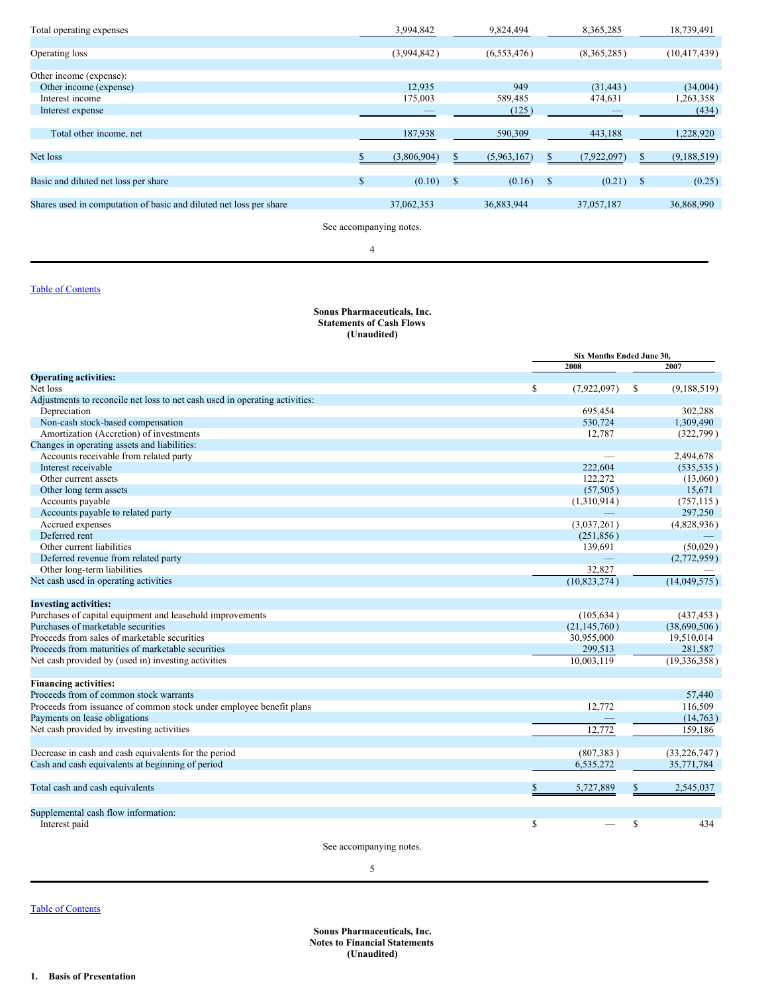| Total operating expenses                                           |                         | 3,994,842   | 9,824,494    |                         | 8,365,285   |               | 18,739,491     |
|--------------------------------------------------------------------|-------------------------|-------------|--------------|-------------------------|-------------|---------------|----------------|
| Operating loss                                                     |                         | (3,994,842) | (6,553,476)  |                         | (8,365,285) |               | (10, 417, 439) |
| Other income (expense):                                            |                         |             |              |                         |             |               |                |
| Other income (expense)                                             |                         | 12,935      |              | 949                     | (31, 443)   |               | (34,004)       |
| Interest income                                                    |                         | 175,003     |              | 589,485                 | 474,631     |               | 1,263,358      |
| Interest expense                                                   |                         |             |              | (125)                   |             |               | (434)          |
| Total other income, net                                            |                         | 187,938     |              | 590,309                 | 443,188     |               | 1,228,920      |
| Net loss                                                           |                         | (3,806,904) | ж            | (5,963,167)             | (7,922,097) |               | (9,188,519)    |
| Basic and diluted net loss per share                               | $\mathbb{S}$            | (0.10)      | $\mathbb{S}$ | <sup>\$</sup><br>(0.16) | (0.21)      | <sup>\$</sup> | (0.25)         |
| Shares used in computation of basic and diluted net loss per share |                         | 37,062,353  | 36,883,944   |                         | 37,057,187  |               | 36,868,990     |
|                                                                    | See accompanying notes. |             |              |                         |             |               |                |

<span id="page-2-0"></span>4

## Table of [Contents](#page-0-0)

**Sonus Pharmaceuticals, Inc. Statements of Cash Flows (Unaudited)**

|                                                                             |   | <b>Six Months Ended June 30.</b> |              |                |  |
|-----------------------------------------------------------------------------|---|----------------------------------|--------------|----------------|--|
|                                                                             |   | 2008                             |              | 2007           |  |
| <b>Operating activities:</b>                                                |   |                                  |              |                |  |
| Net loss                                                                    | S | (7,922,097)                      | <sup>S</sup> | (9,188,519)    |  |
| Adjustments to reconcile net loss to net cash used in operating activities: |   |                                  |              |                |  |
| Depreciation                                                                |   | 695,454                          |              | 302,288        |  |
| Non-cash stock-based compensation                                           |   | 530,724                          |              | 1,309,490      |  |
| Amortization (Accretion) of investments                                     |   | 12,787                           |              | (322,799)      |  |
| Changes in operating assets and liabilities:                                |   |                                  |              |                |  |
| Accounts receivable from related party                                      |   |                                  |              | 2,494,678      |  |
| Interest receivable                                                         |   | 222,604                          |              | (535, 535)     |  |
| Other current assets                                                        |   | 122,272                          |              | (13,060)       |  |
| Other long term assets                                                      |   | (57, 505)                        |              | 15,671         |  |
| Accounts payable                                                            |   | (1,310,914)                      |              | (757, 115)     |  |
| Accounts payable to related party                                           |   |                                  |              | 297,250        |  |
| Accrued expenses                                                            |   | (3,037,261)                      |              | (4,828,936)    |  |
| Deferred rent                                                               |   | (251, 856)                       |              |                |  |
| Other current liabilities                                                   |   | 139,691                          |              | (50,029)       |  |
| Deferred revenue from related party                                         |   |                                  |              | (2,772,959)    |  |
| Other long-term liabilities                                                 |   | 32,827                           |              |                |  |
| Net cash used in operating activities                                       |   | (10, 823, 274)                   |              | (14,049,575)   |  |
|                                                                             |   |                                  |              |                |  |
| <b>Investing activities:</b>                                                |   |                                  |              |                |  |
| Purchases of capital equipment and leasehold improvements                   |   | (105, 634)                       |              | (437, 453)     |  |
| Purchases of marketable securities                                          |   | (21, 145, 760)                   |              | (38,690,506)   |  |
| Proceeds from sales of marketable securities                                |   | 30,955,000                       |              | 19,510,014     |  |
| Proceeds from maturities of marketable securities                           |   | 299,513                          |              | 281,587        |  |
| Net cash provided by (used in) investing activities                         |   | 10,003,119                       |              | (19, 336, 358) |  |
|                                                                             |   |                                  |              |                |  |
| <b>Financing activities:</b>                                                |   |                                  |              |                |  |
| Proceeds from of common stock warrants                                      |   |                                  |              | 57,440         |  |
| Proceeds from issuance of common stock under employee benefit plans         |   | 12,772                           |              | 116,509        |  |
| Payments on lease obligations                                               |   |                                  |              | (14,763)       |  |
| Net cash provided by investing activities                                   |   | 12,772                           |              | 159,186        |  |
|                                                                             |   |                                  |              |                |  |
| Decrease in cash and cash equivalents for the period                        |   | (807, 383)                       |              | (33, 226, 747) |  |
| Cash and cash equivalents at beginning of period                            |   | 6,535,272                        |              | 35,771,784     |  |
|                                                                             |   |                                  |              |                |  |
| Total cash and cash equivalents                                             |   | 5,727,889                        | \$           | 2,545,037      |  |
| Supplemental cash flow information:                                         |   |                                  |              |                |  |
| Interest paid                                                               | S |                                  | \$           | 434            |  |
|                                                                             |   |                                  |              |                |  |
| See accompanying notes.                                                     |   |                                  |              |                |  |

Table of [Contents](#page-0-0)

<span id="page-2-1"></span>**Sonus Pharmaceuticals, Inc. Notes to Financial Statements (Unaudited)**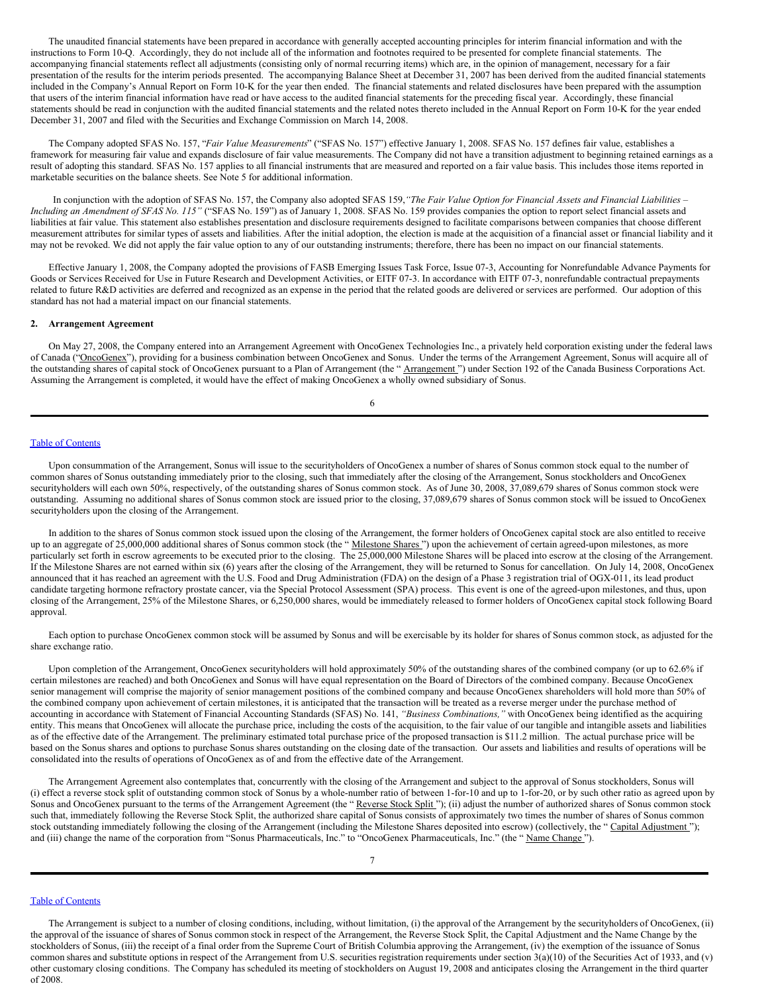The unaudited financial statements have been prepared in accordance with generally accepted accounting principles for interim financial information and with the instructions to Form 10-Q. Accordingly, they do not include all of the information and footnotes required to be presented for complete financial statements. The accompanying financial statements reflect all adjustments (consisting only of normal recurring items) which are, in the opinion of management, necessary for a fair presentation of the results for the interim periods presented. The accompanying Balance Sheet at December 31, 2007 has been derived from the audited financial statements included in the Company's Annual Report on Form 10-K for the year then ended. The financial statements and related disclosures have been prepared with the assumption that users of the interim financial information have read or have access to the audited financial statements for the preceding fiscal year. Accordingly, these financial statements should be read in conjunction with the audited financial statements and the related notes thereto included in the Annual Report on Form 10-K for the year ended December 31, 2007 and filed with the Securities and Exchange Commission on March 14, 2008.

The Company adopted SFAS No. 157, "*Fair Value Measurements*" ("SFAS No. 157") effective January 1, 2008. SFAS No. 157 defines fair value, establishes a framework for measuring fair value and expands disclosure of fair value measurements. The Company did not have a transition adjustment to beginning retained earnings as a result of adopting this standard. SFAS No. 157 applies to all financial instruments that are measured and reported on a fair value basis. This includes those items reported in marketable securities on the balance sheets. See Note 5 for additional information.

In conjunction with the adoption of SFAS No. 157, the Company also adopted SFAS 159, "The Fair Value Option for Financial Assets and Financial Liabilities -*Including an Amendment of SFAS No. 115"* ("SFAS No. 159") as of January 1, 2008. SFAS No. 159 provides companies the option to report select financial assets and liabilities at fair value. This statement also establishes presentation and disclosure requirements designed to facilitate comparisons between companies that choose different measurement attributes for similar types of assets and liabilities. After the initial adoption, the election is made at the acquisition of a financial asset or financial liability and it may not be revoked. We did not apply the fair value option to any of our outstanding instruments; therefore, there has been no impact on our financial statements.

Effective January 1, 2008, the Company adopted the provisions of FASB Emerging Issues Task Force, Issue 07-3, Accounting for Nonrefundable Advance Payments for Goods or Services Received for Use in Future Research and Development Activities, or EITF 07-3. In accordance with EITF 07-3, nonrefundable contractual prepayments related to future R&D activities are deferred and recognized as an expense in the period that the related goods are delivered or services are performed. Our adoption of this standard has not had a material impact on our financial statements.

#### **2. Arrangement Agreement**

On May 27, 2008, the Company entered into an Arrangement Agreement with OncoGenex Technologies Inc., a privately held corporation existing under the federal laws of Canada ("OncoGenex"), providing for a business combination between OncoGenex and Sonus. Under the terms of the Arrangement Agreement, Sonus will acquire all of the outstanding shares of capital stock of OncoGenex pursuant to a Plan of Arrangement (the " Arrangement") under Section 192 of the Canada Business Corporations Act. Assuming the Arrangement is completed, it would have the effect of making OncoGenex a wholly owned subsidiary of Sonus.

| I<br>I<br>۰, |  |
|--------------|--|

#### Table of [Contents](#page-0-0)

Upon consummation of the Arrangement, Sonus will issue to the securityholders of OncoGenex a number of shares of Sonus common stock equal to the number of common shares of Sonus outstanding immediately prior to the closing, such that immediately after the closing of the Arrangement, Sonus stockholders and OncoGenex securityholders will each own 50%, respectively, of the outstanding shares of Sonus common stock. As of June 30, 2008, 37,089,679 shares of Sonus common stock were outstanding. Assuming no additional shares of Sonus common stock are issued prior to the closing, 37,089,679 shares of Sonus common stock will be issued to OncoGenex securityholders upon the closing of the Arrangement.

In addition to the shares of Sonus common stock issued upon the closing of the Arrangement, the former holders of OncoGenex capital stock are also entitled to receive up to an aggregate of 25,000,000 additional shares of Sonus common stock (the "Milestone Shares") upon the achievement of certain agreed-upon milestones, as more particularly set forth in escrow agreements to be executed prior to the closing. The 25,000,000 Milestone Shares will be placed into escrow at the closing of the Arrangement. If the Milestone Shares are not earned within six (6) years after the closing of the Arrangement, they will be returned to Sonus for cancellation. On July 14, 2008, OncoGenex announced that it has reached an agreement with the U.S. Food and Drug Administration (FDA) on the design of a Phase 3 registration trial of OGX-011, its lead product candidate targeting hormone refractory prostate cancer, via the Special Protocol Assessment (SPA) process. This event is one of the agreed-upon milestones, and thus, upon closing of the Arrangement, 25% of the Milestone Shares, or 6,250,000 shares, would be immediately released to former holders of OncoGenex capital stock following Board approval.

Each option to purchase OncoGenex common stock will be assumed by Sonus and will be exercisable by its holder for shares of Sonus common stock, as adjusted for the share exchange ratio.

Upon completion of the Arrangement, OncoGenex securityholders will hold approximately 50% of the outstanding shares of the combined company (or up to 62.6% if certain milestones are reached) and both OncoGenex and Sonus will have equal representation on the Board of Directors of the combined company. Because OncoGenex senior management will comprise the majority of senior management positions of the combined company and because OncoGenex shareholders will hold more than 50% of the combined company upon achievement of certain milestones, it is anticipated that the transaction will be treated as a reverse merger under the purchase method of accounting in accordance with Statement of Financial Accounting Standards (SFAS) No. 141, *"Business Combinations,"* with OncoGenex being identified as the acquiring entity. This means that OncoGenex will allocate the purchase price, including the costs of the acquisition, to the fair value of our tangible and intangible assets and liabilities as of the effective date of the Arrangement. The preliminary estimated total purchase price of the proposed transaction is \$11.2 million. The actual purchase price will be based on the Sonus shares and options to purchase Sonus shares outstanding on the closing date of the transaction. Our assets and liabilities and results of operations will be consolidated into the results of operations of OncoGenex as of and from the effective date of the Arrangement.

The Arrangement Agreement also contemplates that, concurrently with the closing of the Arrangement and subject to the approval of Sonus stockholders, Sonus will (i) effect a reverse stock split of outstanding common stock of Sonus by a whole-number ratio of between 1-for-10 and up to 1-for-20, or by such other ratio as agreed upon by Sonus and OncoGenex pursuant to the terms of the Arrangement Agreement (the "Reverse Stock Split"); (ii) adjust the number of authorized shares of Sonus common stock such that, immediately following the Reverse Stock Split, the authorized share capital of Sonus consists of approximately two times the number of shares of Sonus common stock outstanding immediately following the closing of the Arrangement (including the Milestone Shares deposited into escrow) (collectively, the "Capital Adjustment"); and (iii) change the name of the corporation from "Sonus Pharmaceuticals, Inc." to "OncoGenex Pharmaceuticals, Inc." (the " Name Change ").

#### Table of [Contents](#page-0-0)

The Arrangement is subject to a number of closing conditions, including, without limitation, (i) the approval of the Arrangement by the securityholders of OncoGenex, (ii) the approval of the issuance of shares of Sonus common stock in respect of the Arrangement, the Reverse Stock Split, the Capital Adjustment and the Name Change by the stockholders of Sonus, (iii) the receipt of a final order from the Supreme Court of British Columbia approving the Arrangement, (iv) the exemption of the issuance of Sonus common shares and substitute options in respect of the Arrangement from U.S. securities registration requirements under section  $3(a)(10)$  of the Securities Act of 1933, and (v) other customary closing conditions. The Company has scheduled its meeting of stockholders on August 19, 2008 and anticipates closing the Arrangement in the third quarter of 2008.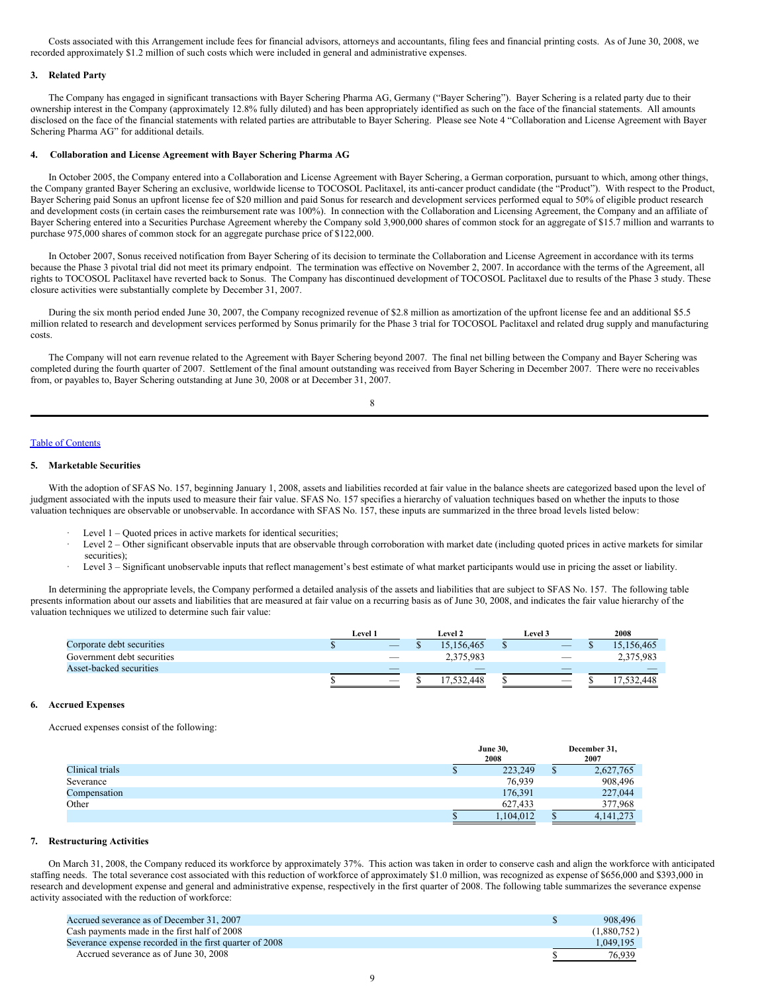Costs associated with this Arrangement include fees for financial advisors, attorneys and accountants, filing fees and financial printing costs. As of June 30, 2008, we recorded approximately \$1.2 million of such costs which were included in general and administrative expenses.

#### **3. Related Party**

The Company has engaged in significant transactions with Bayer Schering Pharma AG, Germany ("Bayer Schering"). Bayer Schering is a related party due to their ownership interest in the Company (approximately 12.8% fully diluted) and has been appropriately identified as such on the face of the financial statements. All amounts disclosed on the face of the financial statements with related parties are attributable to Bayer Schering. Please see Note 4 "Collaboration and License Agreement with Bayer Schering Pharma AG" for additional details.

#### **4. Collaboration and License Agreement with Bayer Schering Pharma AG**

In October 2005, the Company entered into a Collaboration and License Agreement with Bayer Schering, a German corporation, pursuant to which, among other things, the Company granted Bayer Schering an exclusive, worldwide license to TOCOSOL Paclitaxel, its anti-cancer product candidate (the "Product"). With respect to the Product, Bayer Schering paid Sonus an upfront license fee of \$20 million and paid Sonus for research and development services performed equal to 50% of eligible product research and development costs (in certain cases the reimbursement rate was 100%). In connection with the Collaboration and Licensing Agreement, the Company and an affiliate of Bayer Schering entered into a Securities Purchase Agreement whereby the Company sold 3,900,000 shares of common stock for an aggregate of \$15.7 million and warrants to purchase 975,000 shares of common stock for an aggregate purchase price of \$122,000.

In October 2007, Sonus received notification from Bayer Schering of its decision to terminate the Collaboration and License Agreement in accordance with its terms because the Phase 3 pivotal trial did not meet its primary endpoint. The termination was effective on November 2, 2007. In accordance with the terms of the Agreement, all rights to TOCOSOL Paclitaxel have reverted back to Sonus. The Company has discontinued development of TOCOSOL Paclitaxel due to results of the Phase 3 study. These closure activities were substantially complete by December 31, 2007.

During the six month period ended June 30, 2007, the Company recognized revenue of \$2.8 million as amortization of the upfront license fee and an additional \$5.5 million related to research and development services performed by Sonus primarily for the Phase 3 trial for TOCOSOL Paclitaxel and related drug supply and manufacturing costs.

The Company will not earn revenue related to the Agreement with Bayer Schering beyond 2007. The final net billing between the Company and Bayer Schering was completed during the fourth quarter of 2007. Settlement of the final amount outstanding was received from Bayer Schering in December 2007. There were no receivables from, or payables to, Bayer Schering outstanding at June 30, 2008 or at December 31, 2007.

#### 8

#### Table of [Contents](#page-0-0)

#### **5. Marketable Securities**

With the adoption of SFAS No. 157, beginning January 1, 2008, assets and liabilities recorded at fair value in the balance sheets are categorized based upon the level of judgment associated with the inputs used to measure their fair value. SFAS No. 157 specifies a hierarchy of valuation techniques based on whether the inputs to those valuation techniques are observable or unobservable. In accordance with SFAS No. 157, these inputs are summarized in the three broad levels listed below:

- Level  $1 -$ Quoted prices in active markets for identical securities;
- Level 2 Other significant observable inputs that are observable through corroboration with market date (including quoted prices in active markets for similar securities);
- Level 3 Significant unobservable inputs that reflect management's best estimate of what market participants would use in pricing the asset or liability.

In determining the appropriate levels, the Company performed a detailed analysis of the assets and liabilities that are subject to SFAS No. 157. The following table presents information about our assets and liabilities that are measured at fair value on a recurring basis as of June 30, 2008, and indicates the fair value hierarchy of the valuation techniques we utilized to determine such fair value:

|                            | <b>Level</b> 1           |  | <b>Level 2</b>           |  | Level 3                  |  | 2008       |
|----------------------------|--------------------------|--|--------------------------|--|--------------------------|--|------------|
| Corporate debt securities  | $\overline{\phantom{a}}$ |  | 15.156.465               |  |                          |  | 15,156,465 |
| Government debt securities | _                        |  | 2,375,983                |  | -                        |  | 2,375,983  |
| Asset-backed securities    | __                       |  | $\overline{\phantom{a}}$ |  | $\overline{\phantom{a}}$ |  | _          |
|                            |                          |  | 1.532.448                |  |                          |  | 17.532.448 |

#### **6. Accrued Expenses**

Accrued expenses consist of the following:

|                 | <b>June 30,</b><br>2008 |           | December 31,<br>2007 |           |  |
|-----------------|-------------------------|-----------|----------------------|-----------|--|
| Clinical trials |                         | 223,249   |                      | 2,627,765 |  |
| Severance       |                         | 76,939    |                      | 908,496   |  |
| Compensation    |                         | 176,391   |                      | 227,044   |  |
| Other           |                         | 627.433   |                      | 377,968   |  |
|                 |                         | 1.104.012 |                      | 4.141.273 |  |

#### **7. Restructuring Activities**

On March 31, 2008, the Company reduced its workforce by approximately 37%. This action was taken in order to conserve cash and align the workforce with anticipated staffing needs. The total severance cost associated with this reduction of workforce of approximately \$1.0 million, was recognized as expense of \$656,000 and \$393,000 in research and development expense and general and administrative expense, respectively in the first quarter of 2008. The following table summarizes the severance expense activity associated with the reduction of workforce:

| Accrued severance as of December 31, 2007               | 908.496     |
|---------------------------------------------------------|-------------|
| Cash payments made in the first half of 2008            | (1,880,752) |
| Severance expense recorded in the first quarter of 2008 | 1.049.195   |
| Accrued severance as of June 30, 2008                   | 76.939      |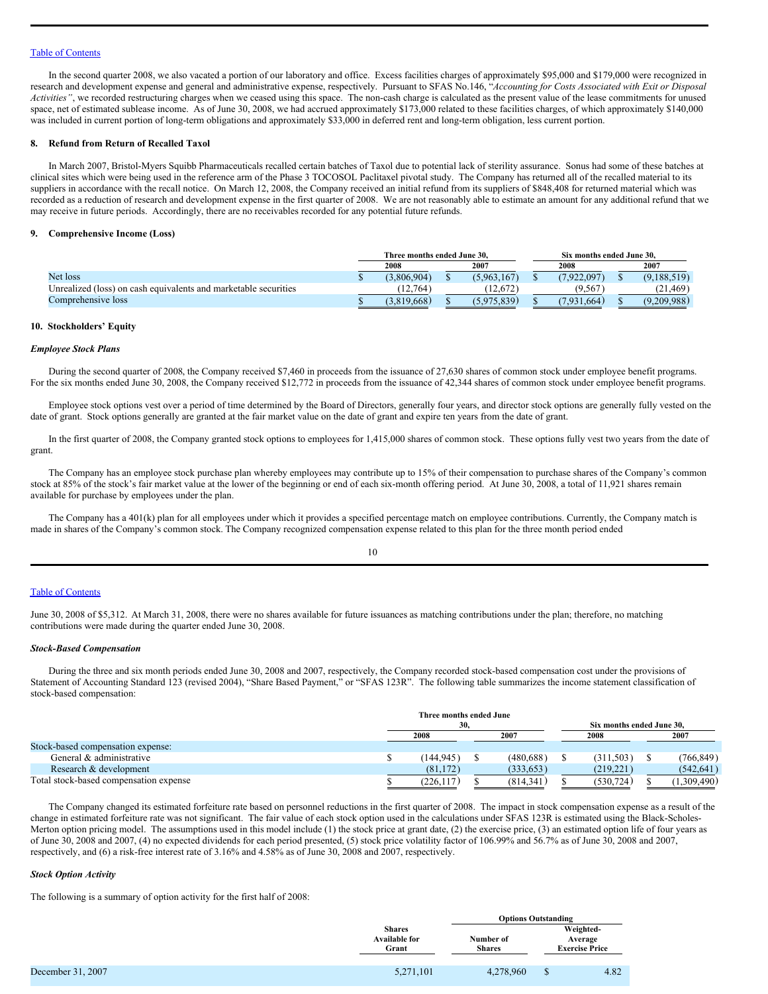#### Table of [Contents](#page-0-0)

In the second quarter 2008, we also vacated a portion of our laboratory and office. Excess facilities charges of approximately \$95,000 and \$179,000 were recognized in research and development expense and general and administrative expense, respectively. Pursuant to SFAS No.146, "*Accounting for Costs Associated with Exit or Disposal Activities"*, we recorded restructuring charges when we ceased using this space. The non-cash charge is calculated as the present value of the lease commitments for unused space, net of estimated sublease income. As of June 30, 2008, we had accrued approximately \$173,000 related to these facilities charges, of which approximately \$140,000 was included in current portion of long-term obligations and approximately \$33,000 in deferred rent and long-term obligation, less current portion.

#### **8. Refund from Return of Recalled Taxol**

In March 2007, Bristol-Myers Squibb Pharmaceuticals recalled certain batches of Taxol due to potential lack of sterility assurance. Sonus had some of these batches at clinical sites which were being used in the reference arm of the Phase 3 TOCOSOL Paclitaxel pivotal study. The Company has returned all of the recalled material to its suppliers in accordance with the recall notice. On March 12, 2008, the Company received an initial refund from its suppliers of \$848,408 for returned material which was recorded as a reduction of research and development expense in the first quarter of 2008. We are not reasonably able to estimate an amount for any additional refund that we may receive in future periods. Accordingly, there are no receivables recorded for any potential future refunds.

#### **9. Comprehensive Income (Loss)**

|                                                                 | Three months ended June 30. |  |             | Six months ended June 30. |             |  |             |
|-----------------------------------------------------------------|-----------------------------|--|-------------|---------------------------|-------------|--|-------------|
|                                                                 | 2008                        |  | 2007        |                           | 2008        |  | 2007        |
| Net loss                                                        | (3,806,904)                 |  | (5,963,167) |                           | (7.922.097) |  | (9,188,519) |
| Unrealized (loss) on cash equivalents and marketable securities | (12.764)                    |  | (12.672     |                           | (9.567)     |  | (21.469)    |
| Comprehensive loss                                              | (3.819.668)                 |  | (5.975.839) |                           | (7.931.664) |  | (9.209.988) |

#### **10. Stockholders' Equity**

#### *Employee Stock Plans*

During the second quarter of 2008, the Company received \$7,460 in proceeds from the issuance of 27,630 shares of common stock under employee benefit programs. For the six months ended June 30, 2008, the Company received \$12,772 in proceeds from the issuance of 42,344 shares of common stock under employee benefit programs.

Employee stock options vest over a period of time determined by the Board of Directors, generally four years, and director stock options are generally fully vested on the date of grant. Stock options generally are granted at the fair market value on the date of grant and expire ten years from the date of grant.

In the first quarter of 2008, the Company granted stock options to employees for 1,415,000 shares of common stock. These options fully vest two years from the date of grant.

The Company has an employee stock purchase plan whereby employees may contribute up to 15% of their compensation to purchase shares of the Company's common stock at 85% of the stock's fair market value at the lower of the beginning or end of each six-month offering period. At June 30, 2008, a total of 11,921 shares remain available for purchase by employees under the plan.

The Company has a 401(k) plan for all employees under which it provides a specified percentage match on employee contributions. Currently, the Company match is made in shares of the Company's common stock. The Company recognized compensation expense related to this plan for the three month period ended

| I            |  |
|--------------|--|
| ٦<br>×<br>۰. |  |

#### Table of [Contents](#page-0-0)

June 30, 2008 of \$5,312. At March 31, 2008, there were no shares available for future issuances as matching contributions under the plan; therefore, no matching contributions were made during the quarter ended June 30, 2008.

#### *Stock-Based Compensation*

During the three and six month periods ended June 30, 2008 and 2007, respectively, the Company recorded stock-based compensation cost under the provisions of Statement of Accounting Standard 123 (revised 2004), "Share Based Payment," or "SFAS 123R". The following table summarizes the income statement classification of stock-based compensation:

|                                        | Three months ended June          |  |            |  |            |  |             |
|----------------------------------------|----------------------------------|--|------------|--|------------|--|-------------|
|                                        | Six months ended June 30.<br>30. |  |            |  |            |  |             |
|                                        | 2008                             |  | 2007       |  | 2008       |  | 2007        |
| Stock-based compensation expense:      |                                  |  |            |  |            |  |             |
| General & administrative               | (144.945)                        |  | (480.688)  |  | (311,503)  |  | (766,849)   |
| Research & development                 | (81,172)                         |  | (333, 653) |  | (219, 221) |  | (542, 641)  |
| Total stock-based compensation expense | (226, 117)                       |  | (814.341)  |  | (530.724)  |  | (1.309.490) |

The Company changed its estimated forfeiture rate based on personnel reductions in the first quarter of 2008. The impact in stock compensation expense as a result of the change in estimated forfeiture rate was not significant. The fair value of each stock option used in the calculations under SFAS 123R is estimated using the Black-Scholes-Merton option pricing model. The assumptions used in this model include (1) the stock price at grant date, (2) the exercise price, (3) an estimated option life of four years as of June 30, 2008 and 2007, (4) no expected dividends for each period presented, (5) stock price volatility factor of 106.99% and 56.7% as of June 30, 2008 and 2007, respectively, and (6) a risk-free interest rate of 3.16% and 4.58% as of June 30, 2008 and 2007, respectively.

#### *Stock Option Activity*

The following is a summary of option activity for the first half of 2008:

|                   |                                                | <b>Options Outstanding</b> |   |                                               |  |  |
|-------------------|------------------------------------------------|----------------------------|---|-----------------------------------------------|--|--|
|                   | <b>Shares</b><br><b>Available for</b><br>Grant | Number of<br><b>Shares</b> |   | Weighted-<br>Average<br><b>Exercise Price</b> |  |  |
| December 31, 2007 | 5,271,101                                      | 4,278,960                  | Φ | 4.82                                          |  |  |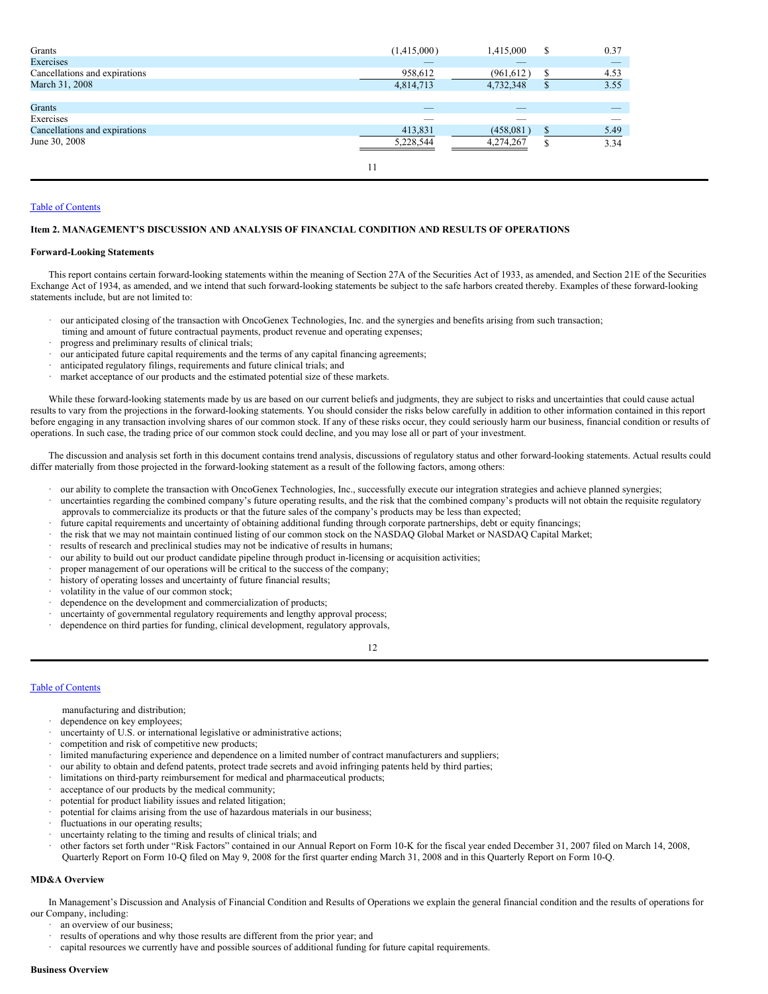| Grants                        | (1,415,000) | 1,415,000  | S  | 0.37                            |
|-------------------------------|-------------|------------|----|---------------------------------|
| Exercises                     | $-$         | _          |    | $\hspace{0.1mm}-\hspace{0.1mm}$ |
| Cancellations and expirations | 958,612     | (961, 612) |    | 4.53                            |
| March 31, 2008                | 4,814,713   | 4,732,348  | \$ | 3.55                            |
|                               |             |            |    |                                 |
| Grants                        | _           |            |    |                                 |
| Exercises                     | _           |            |    |                                 |
| Cancellations and expirations | 413,831     | (458,081)  |    | 5.49                            |
| June 30, 2008                 | 5,228,544   | 4,274,267  | J. | 3.34                            |
|                               |             |            |    |                                 |
|                               | 11          |            |    |                                 |

#### Table of [Contents](#page-0-0)

#### **Item 2. MANAGEMENT'S DISCUSSION AND ANALYSIS OF FINANCIAL CONDITION AND RESULTS OF OPERATIONS**

#### **Forward-Looking Statements**

This report contains certain forward-looking statements within the meaning of Section 27A of the Securities Act of 1933, as amended, and Section 21E of the Securities Exchange Act of 1934, as amended, and we intend that such forward-looking statements be subject to the safe harbors created thereby. Examples of these forward-looking statements include, but are not limited to:

- · our anticipated closing of the transaction with OncoGenex Technologies, Inc. and the synergies and benefits arising from such transaction;
- timing and amount of future contractual payments, product revenue and operating expenses;
- progress and preliminary results of clinical trials;
- our anticipated future capital requirements and the terms of any capital financing agreements;
- anticipated regulatory filings, requirements and future clinical trials; and
- market acceptance of our products and the estimated potential size of these markets.

While these forward-looking statements made by us are based on our current beliefs and judgments, they are subject to risks and uncertainties that could cause actual results to vary from the projections in the forward-looking statements. You should consider the risks below carefully in addition to other information contained in this report before engaging in any transaction involving shares of our common stock. If any of these risks occur, they could seriously harm our business, financial condition or results of operations. In such case, the trading price of our common stock could decline, and you may lose all or part of your investment.

The discussion and analysis set forth in this document contains trend analysis, discussions of regulatory status and other forward-looking statements. Actual results could differ materially from those projected in the forward-looking statement as a result of the following factors, among others:

- our ability to complete the transaction with OncoGenex Technologies, Inc., successfully execute our integration strategies and achieve planned synergies;
- · uncertainties regarding the combined company's future operating results, and the risk that the combined company's products will not obtain the requisite regulatory approvals to commercialize its products or that the future sales of the company's products may be less than expected;
- future capital requirements and uncertainty of obtaining additional funding through corporate partnerships, debt or equity financings;
- · the risk that we may not maintain continued listing of our common stock on the NASDAQ Global Market or NASDAQ Capital Market;
- results of research and preclinical studies may not be indicative of results in humans;
- our ability to build out our product candidate pipeline through product in-licensing or acquisition activities;
- proper management of our operations will be critical to the success of the company;
- history of operating losses and uncertainty of future financial results;
- volatility in the value of our common stock;
- dependence on the development and commercialization of products;
- uncertainty of governmental regulatory requirements and lengthy approval process;
- dependence on third parties for funding, clinical development, regulatory approvals,

<span id="page-6-0"></span>12

#### Table of [Contents](#page-0-0)

- manufacturing and distribution;
- dependence on key employees;
- uncertainty of U.S. or international legislative or administrative actions;
- competition and risk of competitive new products;
- limited manufacturing experience and dependence on a limited number of contract manufacturers and suppliers;
- · our ability to obtain and defend patents, protect trade secrets and avoid infringing patents held by third parties;
- · limitations on third-party reimbursement for medical and pharmaceutical products;
- acceptance of our products by the medical community;
- potential for product liability issues and related litigation;
- potential for claims arising from the use of hazardous materials in our business;
- fluctuations in our operating results;
- uncertainty relating to the timing and results of clinical trials; and
- · other factors set forth under "Risk Factors" contained in our Annual Report on Form 10-K for the fiscal year ended December 31, 2007 filed on March 14, 2008, Quarterly Report on Form 10-Q filed on May 9, 2008 for the first quarter ending March 31, 2008 and in this Quarterly Report on Form 10-Q.

#### **MD&A Overview**

In Management's Discussion and Analysis of Financial Condition and Results of Operations we explain the general financial condition and the results of operations for our Company, including:

- an overview of our business;
- results of operations and why those results are different from the prior year; and
- · capital resources we currently have and possible sources of additional funding for future capital requirements.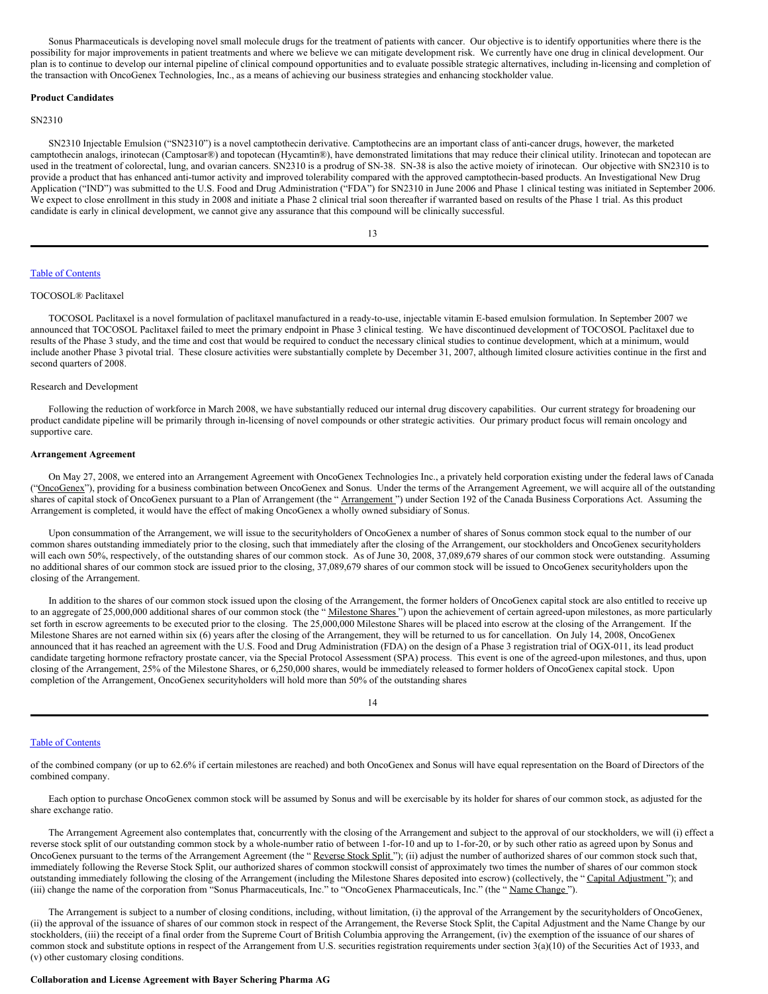Sonus Pharmaceuticals is developing novel small molecule drugs for the treatment of patients with cancer. Our objective is to identify opportunities where there is the possibility for major improvements in patient treatments and where we believe we can mitigate development risk. We currently have one drug in clinical development. Our plan is to continue to develop our internal pipeline of clinical compound opportunities and to evaluate possible strategic alternatives, including in-licensing and completion of the transaction with OncoGenex Technologies, Inc., as a means of achieving our business strategies and enhancing stockholder value.

#### **Product Candidates**

#### SN2310

SN2310 Injectable Emulsion ("SN2310") is a novel camptothecin derivative. Camptothecins are an important class of anti-cancer drugs, however, the marketed camptothecin analogs, irinotecan (Camptosar®) and topotecan (Hycamtin®), have demonstrated limitations that may reduce their clinical utility. Irinotecan and topotecan are used in the treatment of colorectal, lung, and ovarian cancers. SN2310 is a prodrug of SN-38. SN-38 is also the active moiety of irinotecan. Our objective with SN2310 is to provide a product that has enhanced anti-tumor activity and improved tolerability compared with the approved camptothecin-based products. An Investigational New Drug Application ("IND") was submitted to the U.S. Food and Drug Administration ("FDA") for SN2310 in June 2006 and Phase 1 clinical testing was initiated in September 2006. We expect to close enrollment in this study in 2008 and initiate a Phase 2 clinical trial soon thereafter if warranted based on results of the Phase 1 trial. As this product candidate is early in clinical development, we cannot give any assurance that this compound will be clinically successful.

13

#### Table of [Contents](#page-0-0)

#### TOCOSOL® Paclitaxel

TOCOSOL Paclitaxel is a novel formulation of paclitaxel manufactured in a ready-to-use, injectable vitamin E-based emulsion formulation. In September 2007 we announced that TOCOSOL Paclitaxel failed to meet the primary endpoint in Phase 3 clinical testing. We have discontinued development of TOCOSOL Paclitaxel due to results of the Phase 3 study, and the time and cost that would be required to conduct the necessary clinical studies to continue development, which at a minimum, would include another Phase 3 pivotal trial. These closure activities were substantially complete by December 31, 2007, although limited closure activities continue in the first and second quarters of 2008.

#### Research and Development

Following the reduction of workforce in March 2008, we have substantially reduced our internal drug discovery capabilities. Our current strategy for broadening our product candidate pipeline will be primarily through in-licensing of novel compounds or other strategic activities. Our primary product focus will remain oncology and supportive care.

#### **Arrangement Agreement**

On May 27, 2008, we entered into an Arrangement Agreement with OncoGenex Technologies Inc., a privately held corporation existing under the federal laws of Canada ("OncoGenex"), providing for a business combination between OncoGenex and Sonus. Under the terms of the Arrangement Agreement, we will acquire all of the outstanding shares of capital stock of OncoGenex pursuant to a Plan of Arrangement (the "Arrangement") under Section 192 of the Canada Business Corporations Act. Assuming the Arrangement is completed, it would have the effect of making OncoGenex a wholly owned subsidiary of Sonus.

Upon consummation of the Arrangement, we will issue to the securityholders of OncoGenex a number of shares of Sonus common stock equal to the number of our common shares outstanding immediately prior to the closing, such that immediately after the closing of the Arrangement, our stockholders and OncoGenex securityholders will each own 50%, respectively, of the outstanding shares of our common stock. As of June 30, 2008, 37,089,679 shares of our common stock were outstanding. Assuming no additional shares of our common stock are issued prior to the closing, 37,089,679 shares of our common stock will be issued to OncoGenex securityholders upon the closing of the Arrangement.

In addition to the shares of our common stock issued upon the closing of the Arrangement, the former holders of OncoGenex capital stock are also entitled to receive up to an aggregate of 25,000,000 additional shares of our common stock (the "Milestone Shares") upon the achievement of certain agreed-upon milestones, as more particularly set forth in escrow agreements to be executed prior to the closing. The 25,000,000 Milestone Shares will be placed into escrow at the closing of the Arrangement. If the Milestone Shares are not earned within six (6) years after the closing of the Arrangement, they will be returned to us for cancellation. On July 14, 2008, OncoGenex announced that it has reached an agreement with the U.S. Food and Drug Administration (FDA) on the design of a Phase 3 registration trial of OGX-011, its lead product candidate targeting hormone refractory prostate cancer, via the Special Protocol Assessment (SPA) process. This event is one of the agreed-upon milestones, and thus, upon closing of the Arrangement, 25% of the Milestone Shares, or 6,250,000 shares, would be immediately released to former holders of OncoGenex capital stock. Upon completion of the Arrangement, OncoGenex securityholders will hold more than 50% of the outstanding shares

| I<br>٠ |
|--------|
|        |

#### Table of [Contents](#page-0-0)

of the combined company (or up to 62.6% if certain milestones are reached) and both OncoGenex and Sonus will have equal representation on the Board of Directors of the combined company.

Each option to purchase OncoGenex common stock will be assumed by Sonus and will be exercisable by its holder for shares of our common stock, as adjusted for the share exchange ratio.

The Arrangement Agreement also contemplates that, concurrently with the closing of the Arrangement and subject to the approval of our stockholders, we will (i) effect a reverse stock split of our outstanding common stock by a whole-number ratio of between 1-for-10 and up to 1-for-20, or by such other ratio as agreed upon by Sonus and OncoGenex pursuant to the terms of the Arrangement Agreement (the "Reverse Stock Split"); (ii) adjust the number of authorized shares of our common stock such that, immediately following the Reverse Stock Split, our authorized shares of common stockwill consist of approximately two times the number of shares of our common stock outstanding immediately following the closing of the Arrangement (including the Milestone Shares deposited into escrow) (collectively, the "Capital Adjustment"); and (iii) change the name of the corporation from "Sonus Pharmaceuticals, Inc." to "OncoGenex Pharmaceuticals, Inc." (the "Name Change").

The Arrangement is subject to a number of closing conditions, including, without limitation, (i) the approval of the Arrangement by the securityholders of OncoGenex, (ii) the approval of the issuance of shares of our common stock in respect of the Arrangement, the Reverse Stock Split, the Capital Adjustment and the Name Change by our stockholders, (iii) the receipt of a final order from the Supreme Court of British Columbia approving the Arrangement, (iv) the exemption of the issuance of our shares of common stock and substitute options in respect of the Arrangement from U.S. securities registration requirements under section  $3(a)(10)$  of the Securities Act of 1933, and (v) other customary closing conditions.

#### **Collaboration and License Agreement with Bayer Schering Pharma AG**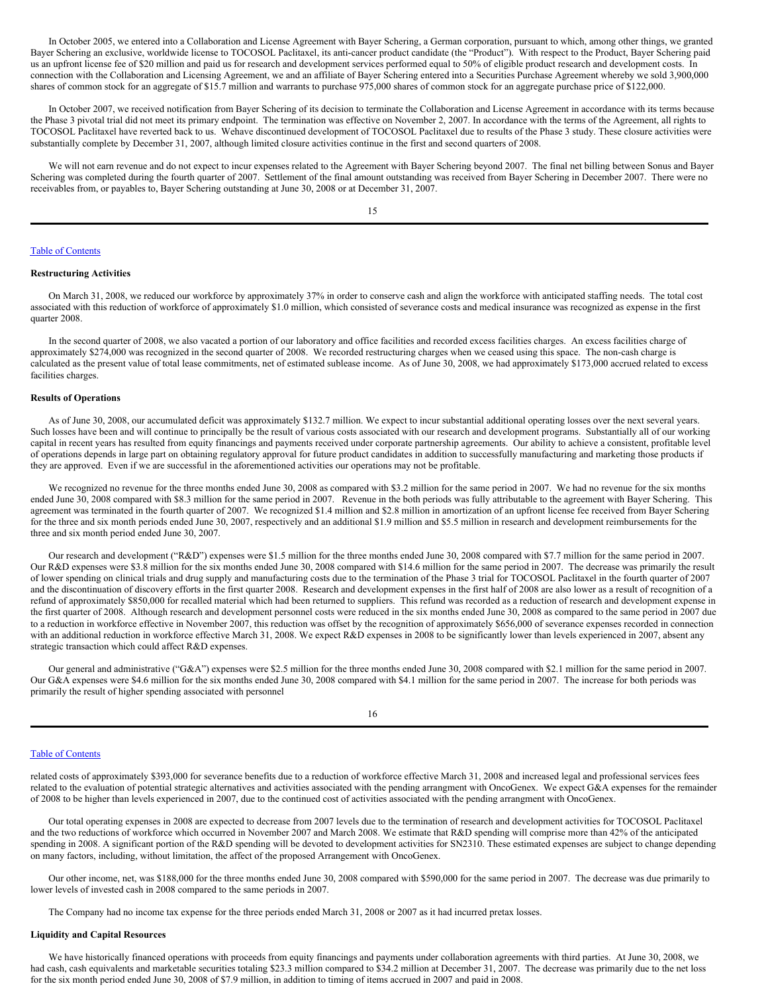In October 2005, we entered into a Collaboration and License Agreement with Bayer Schering, a German corporation, pursuant to which, among other things, we granted Bayer Schering an exclusive, worldwide license to TOCOSOL Paclitaxel, its anti-cancer product candidate (the "Product"). With respect to the Product, Bayer Schering paid us an upfront license fee of \$20 million and paid us for research and development services performed equal to 50% of eligible product research and development costs. In connection with the Collaboration and Licensing Agreement, we and an affiliate of Bayer Schering entered into a Securities Purchase Agreement whereby we sold 3,900,000 shares of common stock for an aggregate of \$15.7 million and warrants to purchase 975,000 shares of common stock for an aggregate purchase price of \$122,000.

In October 2007, we received notification from Bayer Schering of its decision to terminate the Collaboration and License Agreement in accordance with its terms because the Phase 3 pivotal trial did not meet its primary endpoint. The termination was effective on November 2, 2007. In accordance with the terms of the Agreement, all rights to TOCOSOL Paclitaxel have reverted back to us. Wehave discontinued development of TOCOSOL Paclitaxel due to results of the Phase 3 study. These closure activities were substantially complete by December 31, 2007, although limited closure activities continue in the first and second quarters of 2008.

We will not earn revenue and do not expect to incur expenses related to the Agreement with Bayer Schering beyond 2007. The final net billing between Sonus and Bayer Schering was completed during the fourth quarter of 2007. Settlement of the final amount outstanding was received from Bayer Schering in December 2007. There were no receivables from, or payables to, Bayer Schering outstanding at June 30, 2008 or at December 31, 2007.

#### Table of [Contents](#page-0-0)

#### **Restructuring Activities**

On March 31, 2008, we reduced our workforce by approximately 37% in order to conserve cash and align the workforce with anticipated staffing needs. The total cost associated with this reduction of workforce of approximately \$1.0 million, which consisted of severance costs and medical insurance was recognized as expense in the first quarter 2008.

In the second quarter of 2008, we also vacated a portion of our laboratory and office facilities and recorded excess facilities charges. An excess facilities charge of approximately \$274,000 was recognized in the second quarter of 2008. We recorded restructuring charges when we ceased using this space. The non-cash charge is calculated as the present value of total lease commitments, net of estimated sublease income. As of June 30, 2008, we had approximately \$173,000 accrued related to excess facilities charges.

#### **Results of Operations**

As of June 30, 2008, our accumulated deficit was approximately \$132.7 million. We expect to incur substantial additional operating losses over the next several years. Such losses have been and will continue to principally be the result of various costs associated with our research and development programs. Substantially all of our working capital in recent years has resulted from equity financings and payments received under corporate partnership agreements. Our ability to achieve a consistent, profitable level of operations depends in large part on obtaining regulatory approval for future product candidates in addition to successfully manufacturing and marketing those products if they are approved. Even if we are successful in the aforementioned activities our operations may not be profitable.

We recognized no revenue for the three months ended June 30, 2008 as compared with \$3.2 million for the same period in 2007. We had no revenue for the six months ended June 30, 2008 compared with \$8.3 million for the same period in 2007. Revenue in the both periods was fully attributable to the agreement with Bayer Schering. This agreement was terminated in the fourth quarter of 2007. We recognized \$1.4 million and \$2.8 million in amortization of an upfront license fee received from Bayer Schering for the three and six month periods ended June 30, 2007, respectively and an additional \$1.9 million and \$5.5 million in research and development reimbursements for the three and six month period ended June 30, 2007.

Our research and development ("R&D") expenses were \$1.5 million for the three months ended June 30, 2008 compared with \$7.7 million for the same period in 2007. Our R&D expenses were \$3.8 million for the six months ended June 30, 2008 compared with \$14.6 million for the same period in 2007. The decrease was primarily the result of lower spending on clinical trials and drug supply and manufacturing costs due to the termination of the Phase 3 trial for TOCOSOL Paclitaxel in the fourth quarter of 2007 and the discontinuation of discovery efforts in the first quarter 2008. Research and development expenses in the first half of 2008 are also lower as a result of recognition of a refund of approximately \$850,000 for recalled material which had been returned to suppliers. This refund was recorded as a reduction of research and development expense in the first quarter of 2008. Although research and development personnel costs were reduced in the six months ended June 30, 2008 as compared to the same period in 2007 due to a reduction in workforce effective in November 2007, this reduction was offset by the recognition of approximately \$656,000 of severance expenses recorded in connection with an additional reduction in workforce effective March 31, 2008. We expect R&D expenses in 2008 to be significantly lower than levels experienced in 2007, absent any strategic transaction which could affect R&D expenses.

Our general and administrative ("G&A") expenses were \$2.5 million for the three months ended June 30, 2008 compared with \$2.1 million for the same period in 2007. Our G&A expenses were \$4.6 million for the six months ended June 30, 2008 compared with \$4.1 million for the same period in 2007. The increase for both periods was primarily the result of higher spending associated with personnel

#### 16

### Table of [Contents](#page-0-0)

related costs of approximately \$393,000 for severance benefits due to a reduction of workforce effective March 31, 2008 and increased legal and professional services fees related to the evaluation of potential strategic alternatives and activities associated with the pending arrangment with OncoGenex. We expect G&A expenses for the remainder of 2008 to be higher than levels experienced in 2007, due to the continued cost of activities associated with the pending arrangment with OncoGenex.

Our total operating expenses in 2008 are expected to decrease from 2007 levels due to the termination of research and development activities for TOCOSOL Paclitaxel and the two reductions of workforce which occurred in November 2007 and March 2008. We estimate that R&D spending will comprise more than 42% of the anticipated spending in 2008. A significant portion of the R&D spending will be devoted to development activities for SN2310. These estimated expenses are subject to change depending on many factors, including, without limitation, the affect of the proposed Arrangement with OncoGenex.

Our other income, net, was \$188,000 for the three months ended June 30, 2008 compared with \$590,000 for the same period in 2007. The decrease was due primarily to lower levels of invested cash in 2008 compared to the same periods in 2007.

The Company had no income tax expense for the three periods ended March 31, 2008 or 2007 as it had incurred pretax losses.

#### **Liquidity and Capital Resources**

We have historically financed operations with proceeds from equity financings and payments under collaboration agreements with third parties. At June 30, 2008, we had cash, cash equivalents and marketable securities totaling \$23.3 million compared to \$34.2 million at December 31, 2007. The decrease was primarily due to the net loss for the six month period ended June 30, 2008 of \$7.9 million, in addition to timing of items accrued in 2007 and paid in 2008.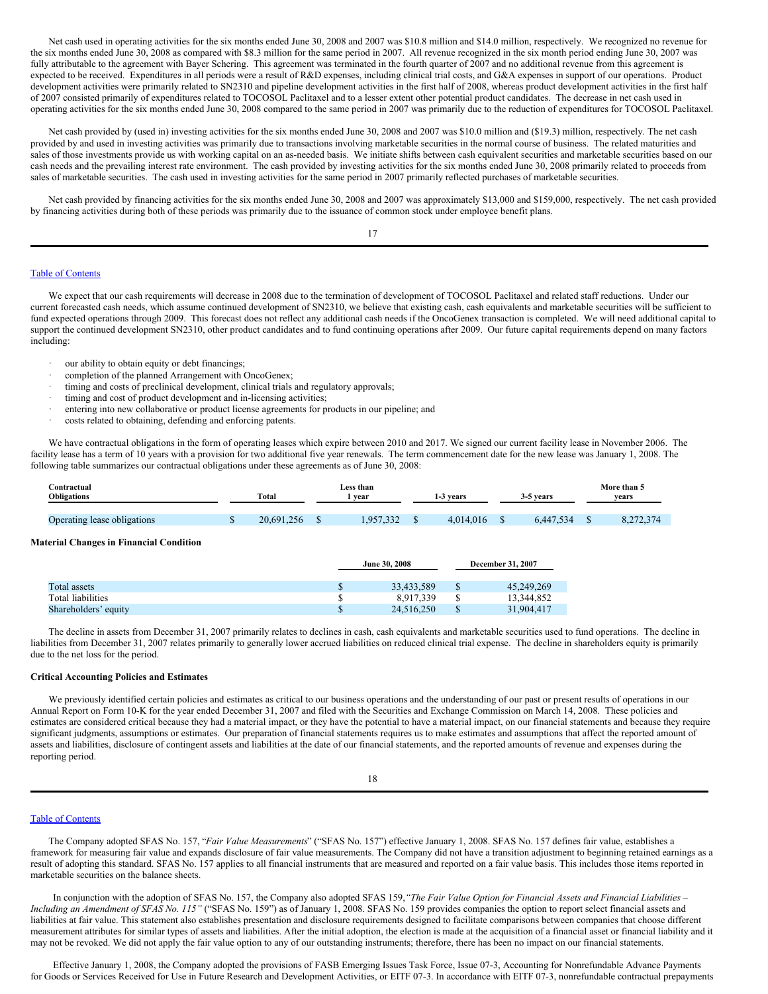Net cash used in operating activities for the six months ended June 30, 2008 and 2007 was \$10.8 million and \$14.0 million, respectively. We recognized no revenue for the six months ended June 30, 2008 as compared with \$8.3 million for the same period in 2007. All revenue recognized in the six month period ending June 30, 2007 was fully attributable to the agreement with Bayer Schering. This agreement was terminated in the fourth quarter of 2007 and no additional revenue from this agreement is expected to be received. Expenditures in all periods were a result of R&D expenses, including clinical trial costs, and G&A expenses in support of our operations. Product development activities were primarily related to SN2310 and pipeline development activities in the first half of 2008, whereas product development activities in the first half of 2007 consisted primarily of expenditures related to TOCOSOL Paclitaxel and to a lesser extent other potential product candidates. The decrease in net cash used in operating activities for the six months ended June 30, 2008 compared to the same period in 2007 was primarily due to the reduction of expenditures for TOCOSOL Paclitaxel.

Net cash provided by (used in) investing activities for the six months ended June 30, 2008 and 2007 was \$10.0 million and (\$19.3) million, respectively. The net cash provided by and used in investing activities was primarily due to transactions involving marketable securities in the normal course of business. The related maturities and sales of those investments provide us with working capital on an as-needed basis. We initiate shifts between cash equivalent securities and marketable securities based on our cash needs and the prevailing interest rate environment. The cash provided by investing activities for the six months ended June 30, 2008 primarily related to proceeds from sales of marketable securities. The cash used in investing activities for the same period in 2007 primarily reflected purchases of marketable securities.

Net cash provided by financing activities for the six months ended June 30, 2008 and 2007 was approximately \$13,000 and \$159,000, respectively. The net cash provided by financing activities during both of these periods was primarily due to the issuance of common stock under employee benefit plans.

17

#### Table of [Contents](#page-0-0)

We expect that our cash requirements will decrease in 2008 due to the termination of development of TOCOSOL Paclitaxel and related staff reductions. Under our current forecasted cash needs, which assume continued development of SN2310, we believe that existing cash, cash equivalents and marketable securities will be sufficient to fund expected operations through 2009. This forecast does not reflect any additional cash needs if the OncoGenex transaction is completed. We will need additional capital to support the continued development SN2310, other product candidates and to fund continuing operations after 2009. Our future capital requirements depend on many factors including:

- our ability to obtain equity or debt financings;
- completion of the planned Arrangement with OncoGenex;
- timing and costs of preclinical development, clinical trials and regulatory approvals;
- timing and cost of product development and in-licensing activities;
- entering into new collaborative or product license agreements for products in our pipeline; and
- costs related to obtaining, defending and enforcing patents.

We have contractual obligations in the form of operating leases which expire between 2010 and 2017. We signed our current facility lease in November 2006. The facility lease has a term of 10 years with a provision for two additional five year renewals. The term commencement date for the new lease was January 1, 2008. The following table summarizes our contractual obligations under these agreements as of June 30, 2008:

| Contractual<br><b>Obligations</b> | Total      | Less than<br>vear<br>1-3 years |           | 3-5 years | More than 5<br>vears |         |                          |
|-----------------------------------|------------|--------------------------------|-----------|-----------|----------------------|---------|--------------------------|
| Operating lease obligations       | 20,691,256 |                                | 1,957,332 |           | 4.014.016            | 6,447,3 | $\overline{\phantom{a}}$ |

#### **Material Changes in Financial Condition**

|                      | <b>June 30, 2008</b> |   | <b>December 31, 2007</b> |
|----------------------|----------------------|---|--------------------------|
| Total assets         | 33,433,589           | ъ | 45.249.269               |
| Total liabilities    | 8.917.339            |   | 13.344.852               |
| Shareholders' equity | 24.516.250           |   | 31,904,417               |

The decline in assets from December 31, 2007 primarily relates to declines in cash, cash equivalents and marketable securities used to fund operations. The decline in liabilities from December 31, 2007 relates primarily to generally lower accrued liabilities on reduced clinical trial expense. The decline in shareholders equity is primarily due to the net loss for the period.

#### **Critical Accounting Policies and Estimates**

We previously identified certain policies and estimates as critical to our business operations and the understanding of our past or present results of operations in our Annual Report on Form 10-K for the year ended December 31, 2007 and filed with the Securities and Exchange Commission on March 14, 2008. These policies and estimates are considered critical because they had a material impact, or they have the potential to have a material impact, on our financial statements and because they require significant judgments, assumptions or estimates. Our preparation of financial statements requires us to make estimates and assumptions that affect the reported amount of assets and liabilities, disclosure of contingent assets and liabilities at the date of our financial statements, and the reported amounts of revenue and expenses during the reporting period.

18

#### Table of [Contents](#page-0-0)

The Company adopted SFAS No. 157, "*Fair Value Measurements*" ("SFAS No. 157") effective January 1, 2008. SFAS No. 157 defines fair value, establishes a framework for measuring fair value and expands disclosure of fair value measurements. The Company did not have a transition adjustment to beginning retained earnings as a result of adopting this standard. SFAS No. 157 applies to all financial instruments that are measured and reported on a fair value basis. This includes those items reported in marketable securities on the balance sheets.

In conjunction with the adoption of SFAS No. 157, the Company also adopted SFAS 159, "The Fair Value Option for Financial Assets and Financial Liabilities -*Including an Amendment of SFAS No. 115"* ("SFAS No. 159") as of January 1, 2008. SFAS No. 159 provides companies the option to report select financial assets and liabilities at fair value. This statement also establishes presentation and disclosure requirements designed to facilitate comparisons between companies that choose different measurement attributes for similar types of assets and liabilities. After the initial adoption, the election is made at the acquisition of a financial asset or financial liability and it may not be revoked. We did not apply the fair value option to any of our outstanding instruments; therefore, there has been no impact on our financial statements.

Effective January 1, 2008, the Company adopted the provisions of FASB Emerging Issues Task Force, Issue 07-3, Accounting for Nonrefundable Advance Payments for Goods or Services Received for Use in Future Research and Development Activities, or EITF 07-3. In accordance with EITF 07-3, nonrefundable contractual prepayments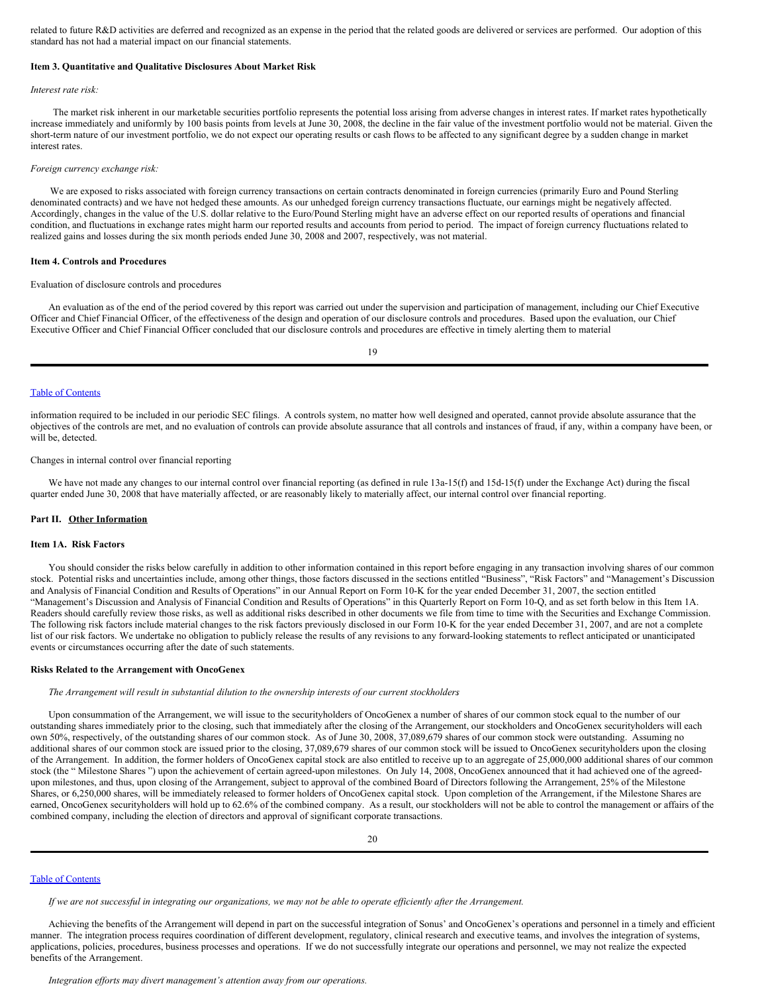related to future R&D activities are deferred and recognized as an expense in the period that the related goods are delivered or services are performed. Our adoption of this standard has not had a material impact on our financial statements.

#### <span id="page-10-0"></span>**Item 3. Quantitative and Qualitative Disclosures About Market Risk**

#### *Interest rate risk:*

The market risk inherent in our marketable securities portfolio represents the potential loss arising from adverse changes in interest rates. If market rates hypothetically increase immediately and uniformly by 100 basis points from levels at June 30, 2008, the decline in the fair value of the investment portfolio would not be material. Given the short-term nature of our investment portfolio, we do not expect our operating results or cash flows to be affected to any significant degree by a sudden change in market interest rates.

#### *Foreign currency exchange risk:*

We are exposed to risks associated with foreign currency transactions on certain contracts denominated in foreign currencies (primarily Euro and Pound Sterling denominated contracts) and we have not hedged these amounts. As our unhedged foreign currency transactions fluctuate, our earnings might be negatively affected. Accordingly, changes in the value of the U.S. dollar relative to the Euro/Pound Sterling might have an adverse effect on our reported results of operations and financial condition, and fluctuations in exchange rates might harm our reported results and accounts from period to period. The impact of foreign currency fluctuations related to realized gains and losses during the six month periods ended June 30, 2008 and 2007, respectively, was not material.

#### <span id="page-10-1"></span>**Item 4. Controls and Procedures**

#### Evaluation of disclosure controls and procedures

An evaluation as of the end of the period covered by this report was carried out under the supervision and participation of management, including our Chief Executive Officer and Chief Financial Officer, of the effectiveness of the design and operation of our disclosure controls and procedures. Based upon the evaluation, our Chief Executive Officer and Chief Financial Officer concluded that our disclosure controls and procedures are effective in timely alerting them to material

#### Table of [Contents](#page-0-0)

information required to be included in our periodic SEC filings. A controls system, no matter how well designed and operated, cannot provide absolute assurance that the objectives of the controls are met, and no evaluation of controls can provide absolute assurance that all controls and instances of fraud, if any, within a company have been, or will be, detected.

### Changes in internal control over financial reporting

We have not made any changes to our internal control over financial reporting (as defined in rule 13a-15(f) and 15d-15(f) under the Exchange Act) during the fiscal quarter ended June 30, 2008 that have materially affected, or are reasonably likely to materially affect, our internal control over financial reporting.

#### <span id="page-10-2"></span>**Part II. Other Information**

#### <span id="page-10-3"></span>**Item 1A. Risk Factors**

You should consider the risks below carefully in addition to other information contained in this report before engaging in any transaction involving shares of our common stock. Potential risks and uncertainties include, among other things, those factors discussed in the sections entitled "Business", "Risk Factors" and "Management's Discussion and Analysis of Financial Condition and Results of Operations" in our Annual Report on Form 10-K for the year ended December 31, 2007, the section entitled "Management's Discussion and Analysis of Financial Condition and Results of Operations" in this Quarterly Report on Form 10-Q, and as set forth below in this Item 1A. Readers should carefully review those risks, as well as additional risks described in other documents we file from time to time with the Securities and Exchange Commission. The following risk factors include material changes to the risk factors previously disclosed in our Form 10-K for the year ended December 31, 2007, and are not a complete list of our risk factors. We undertake no obligation to publicly release the results of any revisions to any forward-looking statements to reflect anticipated or unanticipated events or circumstances occurring after the date of such statements.

#### **Risks Related to the Arrangement with OncoGenex**

#### *The Arrangement will result in substantial dilution to the ownership interests of our current stockholders*.

Upon consummation of the Arrangement, we will issue to the securityholders of OncoGenex a number of shares of our common stock equal to the number of our outstanding shares immediately prior to the closing, such that immediately after the closing of the Arrangement, our stockholders and OncoGenex securityholders will each own 50%, respectively, of the outstanding shares of our common stock. As of June 30, 2008, 37,089,679 shares of our common stock were outstanding. Assuming no additional shares of our common stock are issued prior to the closing, 37,089,679 shares of our common stock will be issued to OncoGenex securityholders upon the closing of the Arrangement. In addition, the former holders of OncoGenex capital stock are also entitled to receive up to an aggregate of 25,000,000 additional shares of our common stock (the "Milestone Shares ") upon the achievement of certain agreed-upon milestones. On July 14, 2008, OncoGenex announced that it had achieved one of the agreedupon milestones, and thus, upon closing of the Arrangement, subject to approval of the combined Board of Directors following the Arrangement, 25% of the Milestone Shares, or 6,250,000 shares, will be immediately released to former holders of OncoGenex capital stock. Upon completion of the Arrangement, if the Milestone Shares are earned, OncoGenex securityholders will hold up to 62.6% of the combined company. As a result, our stockholders will not be able to control the management or affairs of the combined company, including the election of directors and approval of significant corporate transactions.

#### Table of [Contents](#page-0-0)

If we are not successful in integrating our organizations, we may not be able to operate efficiently after the Arrangement.

Achieving the benefits of the Arrangement will depend in part on the successful integration of Sonus' and OncoGenex's operations and personnel in a timely and efficient manner. The integration process requires coordination of different development, regulatory, clinical research and executive teams, and involves the integration of systems, applications, policies, procedures, business processes and operations. If we do not successfully integrate our operations and personnel, we may not realize the expected benefits of the Arrangement.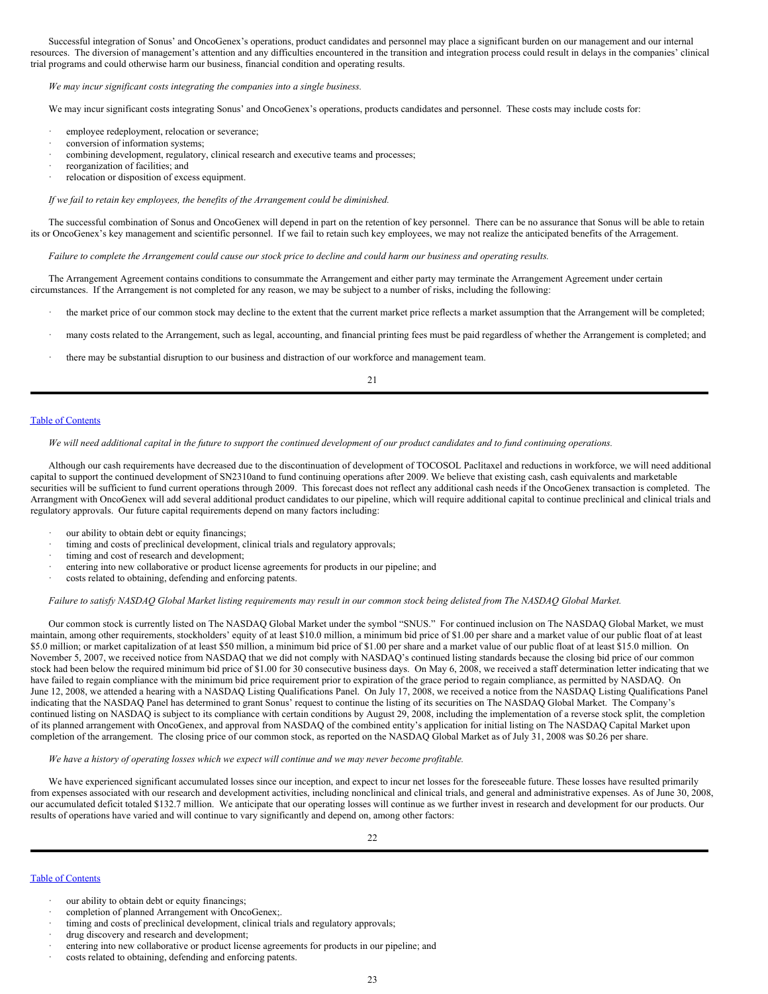Successful integration of Sonus' and OncoGenex's operations, product candidates and personnel may place a significant burden on our management and our internal resources. The diversion of management's attention and any difficulties encountered in the transition and integration process could result in delays in the companies' clinical trial programs and could otherwise harm our business, financial condition and operating results.

*We may incur significant costs integrating the companies into a single business.*

We may incur significant costs integrating Sonus' and OncoGenex's operations, products candidates and personnel. These costs may include costs for:

- employee redeployment, relocation or severance;
- conversion of information systems;
- · combining development, regulatory, clinical research and executive teams and processes;
- reorganization of facilities; and
- relocation or disposition of excess equipment.

*If we fail to retain key employees, the benefits of the Arrangement could be diminished.*

The successful combination of Sonus and OncoGenex will depend in part on the retention of key personnel. There can be no assurance that Sonus will be able to retain its or OncoGenex's key management and scientific personnel. If we fail to retain such key employees, we may not realize the anticipated benefits of the Arragement.

Failure to complete the Arrangement could cause our stock price to decline and could harm our business and operating results.

The Arrangement Agreement contains conditions to consummate the Arrangement and either party may terminate the Arrangement Agreement under certain circumstances. If the Arrangement is not completed for any reason, we may be subject to a number of risks, including the following:

- the market price of our common stock may decline to the extent that the current market price reflects a market assumption that the Arrangement will be completed;
- many costs related to the Arrangement, such as legal, accounting, and financial printing fees must be paid regardless of whether the Arrangement is completed; and
- there may be substantial disruption to our business and distraction of our workforce and management team.

21

#### Table of [Contents](#page-0-0)

We will need additional capital in the future to support the continued development of our product candidates and to fund continuing operations.

Although our cash requirements have decreased due to the discontinuation of development of TOCOSOL Paclitaxel and reductions in workforce, we will need additional capital to support the continued development of SN2310and to fund continuing operations after 2009. We believe that existing cash, cash equivalents and marketable securities will be sufficient to fund current operations through 2009. This forecast does not reflect any additional cash needs if the OncoGenex transaction is completed. The Arrangment with OncoGenex will add several additional product candidates to our pipeline, which will require additional capital to continue preclinical and clinical trials and regulatory approvals. Our future capital requirements depend on many factors including:

- our ability to obtain debt or equity financings;
- timing and costs of preclinical development, clinical trials and regulatory approvals;
- timing and cost of research and development;
- entering into new collaborative or product license agreements for products in our pipeline; and
- costs related to obtaining, defending and enforcing patents.

#### Failure to satisfy NASDAQ Global Market listing requirements may result in our common stock being delisted from The NASDAQ Global Market.

Our common stock is currently listed on The NASDAQ Global Market under the symbol "SNUS." For continued inclusion on The NASDAQ Global Market, we must maintain, among other requirements, stockholders' equity of at least \$10.0 million, a minimum bid price of \$1.00 per share and a market value of our public float of at least \$5.0 million; or market capitalization of at least \$50 million, a minimum bid price of \$1.00 per share and a market value of our public float of at least \$15.0 million. On November 5, 2007, we received notice from NASDAQ that we did not comply with NASDAQ's continued listing standards because the closing bid price of our common stock had been below the required minimum bid price of \$1.00 for 30 consecutive business days. On May 6, 2008, we received a staff determination letter indicating that we have failed to regain compliance with the minimum bid price requirement prior to expiration of the grace period to regain compliance, as permitted by NASDAQ. On June 12, 2008, we attended a hearing with a NASDAQ Listing Qualifications Panel. On July 17, 2008, we received a notice from the NASDAQ Listing Qualifications Panel indicating that the NASDAQ Panel has determined to grant Sonus' request to continue the listing of its securities on The NASDAQ Global Market. The Company's continued listing on NASDAQ is subject to its compliance with certain conditions by August 29, 2008, including the implementation of a reverse stock split, the completion of its planned arrangement with OncoGenex, and approval from NASDAQ of the combined entity's application for initial listing on The NASDAQ Capital Market upon completion of the arrangement. The closing price of our common stock, as reported on the NASDAQ Global Market as of July 31, 2008 was \$0.26 per share.

#### We have a history of operating losses which we expect will continue and we may never become profitable.

We have experienced significant accumulated losses since our inception, and expect to incur net losses for the foreseeable future. These losses have resulted primarily from expenses associated with our research and development activities, including nonclinical and clinical trials, and general and administrative expenses. As of June 30, 2008, our accumulated deficit totaled \$132.7 million. We anticipate that our operating losses will continue as we further invest in research and development for our products. Our results of operations have varied and will continue to vary significantly and depend on, among other factors:

### Table of [Contents](#page-0-0)

- our ability to obtain debt or equity financings;
- completion of planned Arrangement with OncoGenex;.
- timing and costs of preclinical development, clinical trials and regulatory approvals;
- drug discovery and research and development;
- entering into new collaborative or product license agreements for products in our pipeline; and
- costs related to obtaining, defending and enforcing patents.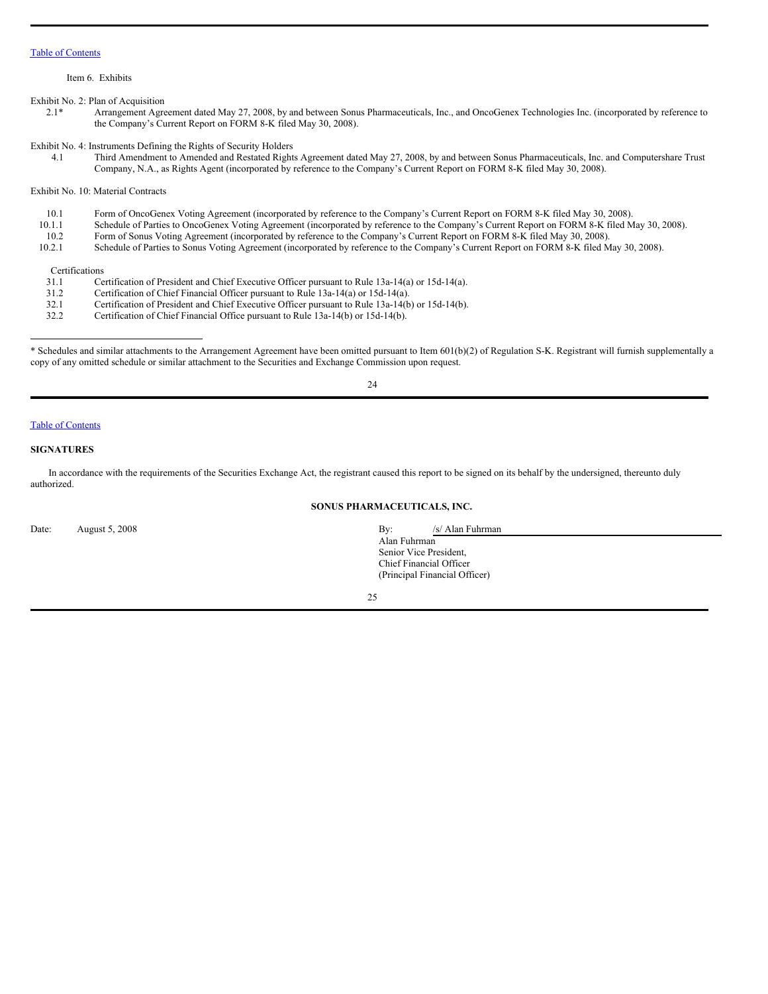<span id="page-12-0"></span>Item 6. Exhibits

Exhibit No. 2: Plan of Acquisition

- 2.1\* Arrangement Agreement dated May 27, 2008, by and between Sonus Pharmaceuticals, Inc., and OncoGenex Technologies Inc. (incorporated by reference to the Company's Current Report on FORM 8-K filed May 30, 2008).
- Exhibit No. 4: Instruments Defining the Rights of Security Holders
	- 4.1 Third Amendment to Amended and Restated Rights Agreement dated May 27, 2008, by and between Sonus Pharmaceuticals, Inc. and Computershare Trust Company, N.A., as Rights Agent (incorporated by reference to the Company's Current Report on FORM 8-K filed May 30, 2008).

Exhibit No. 10: Material Contracts

- 10.1 Form of OncoGenex Voting Agreement (incorporated by reference to the Company's Current Report on FORM 8-K filed May 30, 2008).
- 10.1.1 Schedule of Parties to OncoGenex Voting Agreement (incorporated by reference to the Company's Current Report on FORM 8-K filed May 30, 2008).
- 10.2 Form of Sonus Voting Agreement (incorporated by reference to the Company's Current Report on FORM 8-K filed May 30, 2008).
- 10.2.1 Schedule of Parties to Sonus Voting Agreement (incorporated by reference to the Company's Current Report on FORM 8-K filed May 30, 2008).

Certifications

- 31.1 Certification of President and Chief Executive Officer pursuant to Rule 13a-14(a) or 15d-14(a).
- 31.2 Certification of Chief Financial Officer pursuant to Rule 13a-14(a) or 15d-14(a).
- 32.1 Certification of President and Chief Executive Officer pursuant to Rule 13a-14(b) or 15d-14(b).
- 32.2 Certification of Chief Financial Office pursuant to Rule 13a-14(b) or 15d-14(b).

 $24$ 

#### Table of [Contents](#page-0-0)

#### **SIGNATURES**

In accordance with the requirements of the Securities Exchange Act, the registrant caused this report to be signed on its behalf by the undersigned, thereunto duly authorized.

### **SONUS PHARMACEUTICALS, INC.**

Date: August 5, 2008 By: /s/ Alan Fuhrman

Alan Fuhrman Senior Vice President, Chief Financial Officer (Principal Financial Officer)

25

<sup>\*</sup> Schedules and similar attachments to the Arrangement Agreement have been omitted pursuant to Item 601(b)(2) of Regulation S-K. Registrant will furnish supplementally a copy of any omitted schedule or similar attachment to the Securities and Exchange Commission upon request.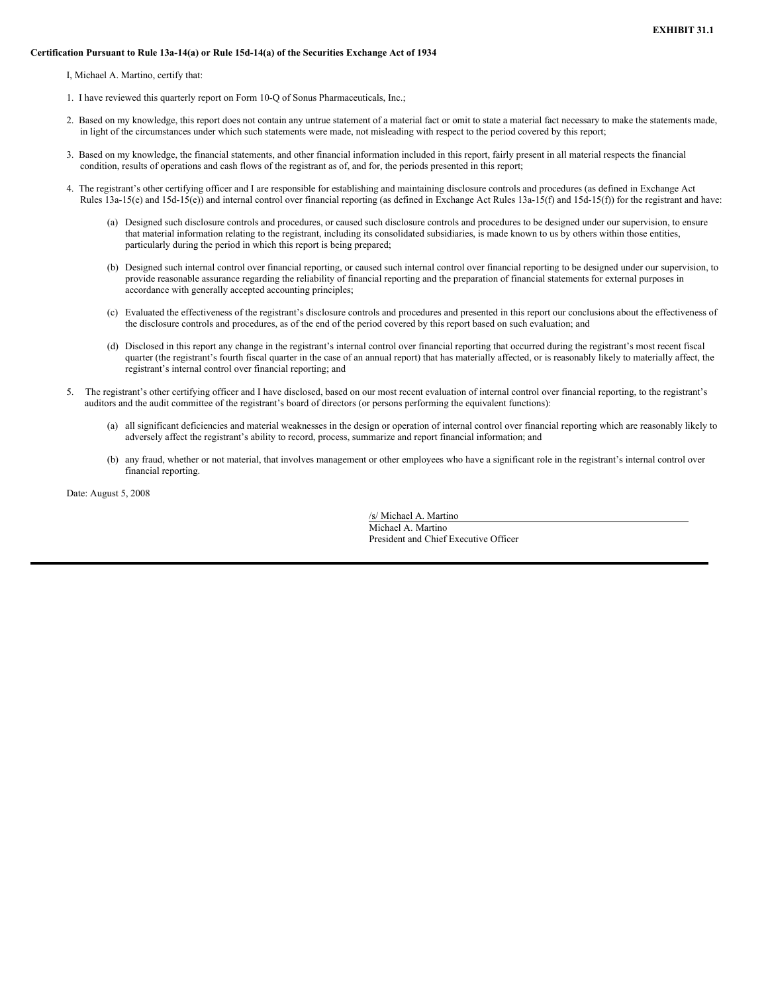#### **Certification Pursuant to Rule 13a-14(a) or Rule 15d-14(a) of the Securities Exchange Act of 1934**

I, Michael A. Martino, certify that:

- 1. I have reviewed this quarterly report on Form 10-Q of Sonus Pharmaceuticals, Inc.;
- 2. Based on my knowledge, this report does not contain any untrue statement of a material fact or omit to state a material fact necessary to make the statements made, in light of the circumstances under which such statements were made, not misleading with respect to the period covered by this report;
- 3. Based on my knowledge, the financial statements, and other financial information included in this report, fairly present in all material respects the financial condition, results of operations and cash flows of the registrant as of, and for, the periods presented in this report;
- 4. The registrant's other certifying officer and I are responsible for establishing and maintaining disclosure controls and procedures (as defined in Exchange Act Rules 13a-15(e) and 15d-15(e)) and internal control over financial reporting (as defined in Exchange Act Rules 13a-15(f) and 15d-15(f)) for the registrant and have:
	- (a) Designed such disclosure controls and procedures, or caused such disclosure controls and procedures to be designed under our supervision, to ensure that material information relating to the registrant, including its consolidated subsidiaries, is made known to us by others within those entities, particularly during the period in which this report is being prepared;
	- (b) Designed such internal control over financial reporting, or caused such internal control over financial reporting to be designed under our supervision, to provide reasonable assurance regarding the reliability of financial reporting and the preparation of financial statements for external purposes in accordance with generally accepted accounting principles;
	- (c) Evaluated the effectiveness of the registrant's disclosure controls and procedures and presented in this report our conclusions about the effectiveness of the disclosure controls and procedures, as of the end of the period covered by this report based on such evaluation; and
	- (d) Disclosed in this report any change in the registrant's internal control over financial reporting that occurred during the registrant's most recent fiscal quarter (the registrant's fourth fiscal quarter in the case of an annual report) that has materially affected, or is reasonably likely to materially affect, the registrant's internal control over financial reporting; and
- 5. The registrant's other certifying officer and I have disclosed, based on our most recent evaluation of internal control over financial reporting, to the registrant's auditors and the audit committee of the registrant's board of directors (or persons performing the equivalent functions):
	- (a) all significant deficiencies and material weaknesses in the design or operation of internal control over financial reporting which are reasonably likely to adversely affect the registrant's ability to record, process, summarize and report financial information; and
	- (b) any fraud, whether or not material, that involves management or other employees who have a significant role in the registrant's internal control over financial reporting.

Date: August 5, 2008

/s/ Michael A. Martino Michael A. Martino President and Chief Executive Officer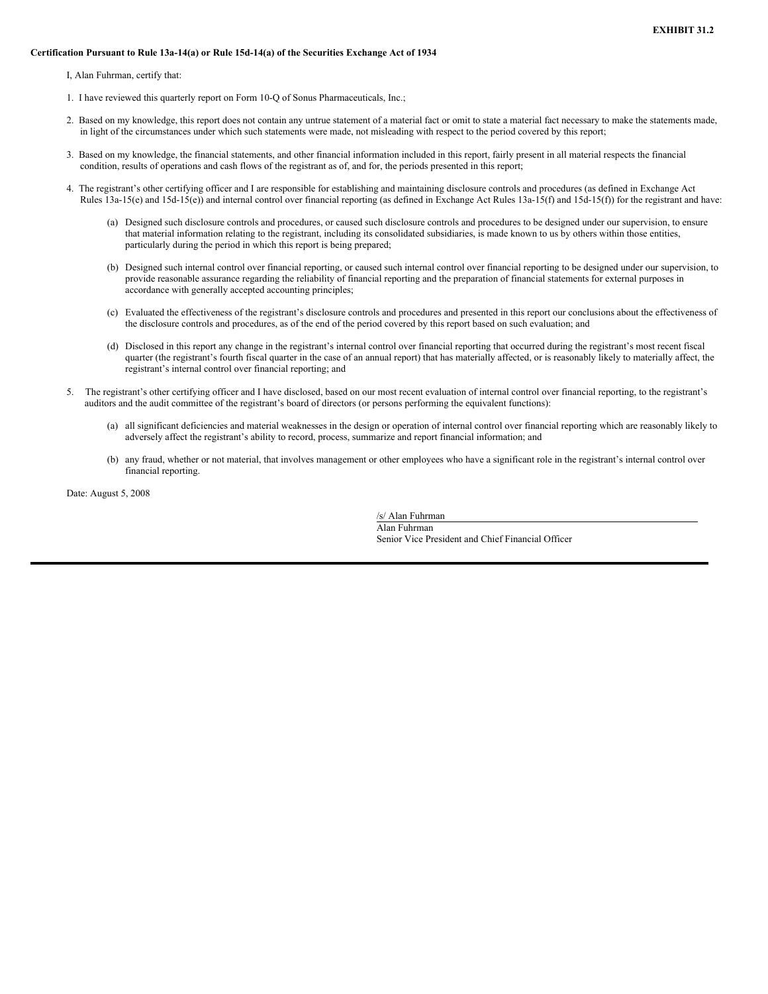#### **Certification Pursuant to Rule 13a-14(a) or Rule 15d-14(a) of the Securities Exchange Act of 1934**

I, Alan Fuhrman, certify that:

- 1. I have reviewed this quarterly report on Form 10-Q of Sonus Pharmaceuticals, Inc.;
- 2. Based on my knowledge, this report does not contain any untrue statement of a material fact or omit to state a material fact necessary to make the statements made, in light of the circumstances under which such statements were made, not misleading with respect to the period covered by this report;
- 3. Based on my knowledge, the financial statements, and other financial information included in this report, fairly present in all material respects the financial condition, results of operations and cash flows of the registrant as of, and for, the periods presented in this report;
- 4. The registrant's other certifying officer and I are responsible for establishing and maintaining disclosure controls and procedures (as defined in Exchange Act Rules 13a-15(e) and 15d-15(e)) and internal control over financial reporting (as defined in Exchange Act Rules 13a-15(f) and 15d-15(f)) for the registrant and have:
	- (a) Designed such disclosure controls and procedures, or caused such disclosure controls and procedures to be designed under our supervision, to ensure that material information relating to the registrant, including its consolidated subsidiaries, is made known to us by others within those entities, particularly during the period in which this report is being prepared;
	- (b) Designed such internal control over financial reporting, or caused such internal control over financial reporting to be designed under our supervision, to provide reasonable assurance regarding the reliability of financial reporting and the preparation of financial statements for external purposes in accordance with generally accepted accounting principles;
	- (c) Evaluated the effectiveness of the registrant's disclosure controls and procedures and presented in this report our conclusions about the effectiveness of the disclosure controls and procedures, as of the end of the period covered by this report based on such evaluation; and
	- (d) Disclosed in this report any change in the registrant's internal control over financial reporting that occurred during the registrant's most recent fiscal quarter (the registrant's fourth fiscal quarter in the case of an annual report) that has materially affected, or is reasonably likely to materially affect, the registrant's internal control over financial reporting; and
- 5. The registrant's other certifying officer and I have disclosed, based on our most recent evaluation of internal control over financial reporting, to the registrant's auditors and the audit committee of the registrant's board of directors (or persons performing the equivalent functions):
	- (a) all significant deficiencies and material weaknesses in the design or operation of internal control over financial reporting which are reasonably likely to adversely affect the registrant's ability to record, process, summarize and report financial information; and
	- (b) any fraud, whether or not material, that involves management or other employees who have a significant role in the registrant's internal control over financial reporting.

Date: August 5, 2008

/s/ Alan Fuhrman Alan Fuhrman Senior Vice President and Chief Financial Officer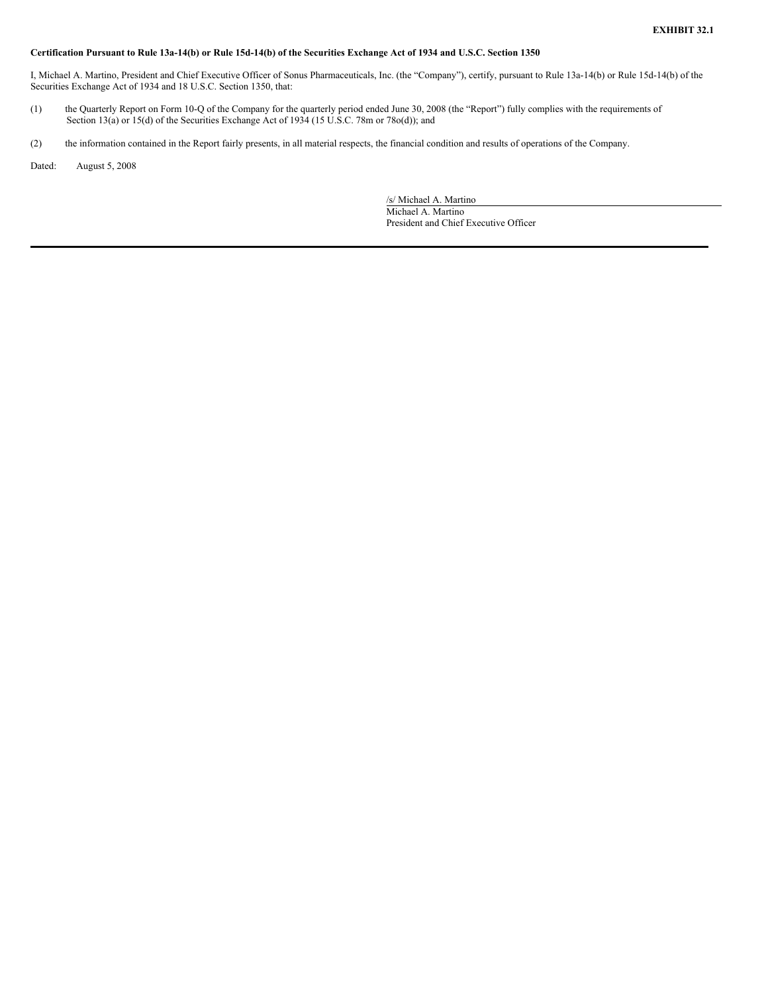#### Certification Pursuant to Rule 13a-14(b) or Rule 15d-14(b) of the Securities Exchange Act of 1934 and U.S.C. Section 1350

I, Michael A. Martino, President and Chief Executive Officer of Sonus Pharmaceuticals, Inc. (the "Company"), certify, pursuant to Rule 13a-14(b) or Rule 15d-14(b) of the Securities Exchange Act of 1934 and 18 U.S.C. Section 1350, that:

- (1) the Quarterly Report on Form 10-Q of the Company for the quarterly period ended June 30, 2008 (the "Report") fully complies with the requirements of Section 13(a) or 15(d) of the Securities Exchange Act of 1934 (15 U.S.C. 78m or 78o(d)); and
- (2) the information contained in the Report fairly presents, in all material respects, the financial condition and results of operations of the Company.

Dated: August 5, 2008

/s/ Michael A. Martino Michael A. Martino President and Chief Executive Officer